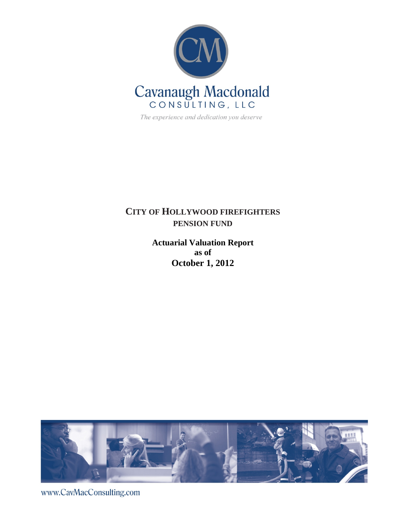

The experience and dedication you deserve

# **CITY OF HOLLYWOOD FIREFIGHTERS PENSION FUND**

**Actuarial Valuation Report as of October 1, 2012** 



www.CavMacConsulting.com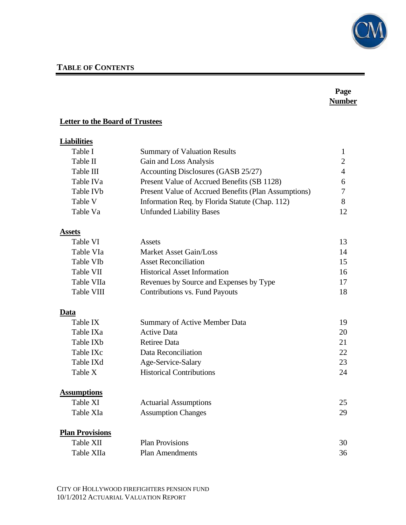

# **TABLE OF CONTENTS**

# **Page Number**

## **Letter to the Board of Trustees**

# **Liabilities**

| Table I   | <b>Summary of Valuation Results</b>                  |                 |
|-----------|------------------------------------------------------|-----------------|
| Table II  | Gain and Loss Analysis                               |                 |
| Table III | Accounting Disclosures (GASB 25/27)                  |                 |
| Table IVa | Present Value of Accrued Benefits (SB 1128)          | 6               |
| Table IVb | Present Value of Accrued Benefits (Plan Assumptions) |                 |
| Table V   | Information Req. by Florida Statute (Chap. 112)      |                 |
| Table Va  | <b>Unfunded Liability Bases</b>                      | 12 <sub>1</sub> |

## **Assets**

| Table VI              | Assets                                  | 13. |
|-----------------------|-----------------------------------------|-----|
| Table VIa             | Market Asset Gain/Loss                  | 14  |
| Table VI <sub>b</sub> | <b>Asset Reconciliation</b>             | 15  |
| Table VII             | <b>Historical Asset Information</b>     | 16  |
| Table VIIa            | Revenues by Source and Expenses by Type | 17  |
| Table VIII            | Contributions vs. Fund Payouts          | 18  |

### **Data**

| Table IX              | Summary of Active Member Data   | 19. |
|-----------------------|---------------------------------|-----|
| Table IXa             | <b>Active Data</b>              | 20  |
| Table IX <sub>b</sub> | Retiree Data                    | 21  |
| Table IXc             | Data Reconciliation             | 22. |
| Table IXd             | Age-Service-Salary              | 23  |
| Table X               | <b>Historical Contributions</b> | 24  |

# **Assumptions**

| Table XI  | <b>Actuarial Assumptions</b> |     |
|-----------|------------------------------|-----|
| Table XIa | <b>Assumption Changes</b>    | 29. |

## **Plan Provisions**

| Table XII  | <b>Plan Provisions</b> | 30 |
|------------|------------------------|----|
| Table XIIa | <b>Plan Amendments</b> | 36 |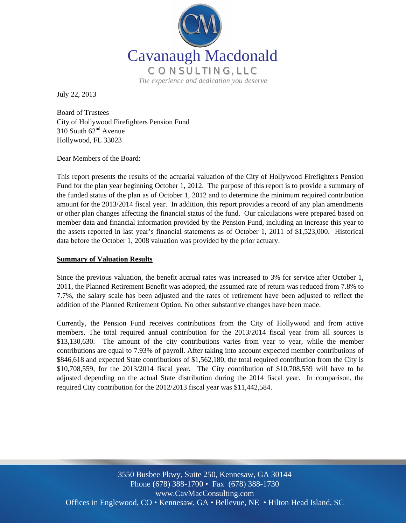

July 22, 2013

Board of Trustees City of Hollywood Firefighters Pension Fund 310 South  $62<sup>nd</sup>$  Avenue Hollywood, FL 33023

Dear Members of the Board:

This report presents the results of the actuarial valuation of the City of Hollywood Firefighters Pension Fund for the plan year beginning October 1, 2012. The purpose of this report is to provide a summary of the funded status of the plan as of October 1, 2012 and to determine the minimum required contribution amount for the 2013/2014 fiscal year. In addition, this report provides a record of any plan amendments or other plan changes affecting the financial status of the fund. Our calculations were prepared based on member data and financial information provided by the Pension Fund, including an increase this year to the assets reported in last year's financial statements as of October 1, 2011 of \$1,523,000. Historical data before the October 1, 2008 valuation was provided by the prior actuary.

#### **Summary of Valuation Results**

Since the previous valuation, the benefit accrual rates was increased to 3% for service after October 1, 2011, the Planned Retirement Benefit was adopted, the assumed rate of return was reduced from 7.8% to 7.7%, the salary scale has been adjusted and the rates of retirement have been adjusted to reflect the addition of the Planned Retirement Option. No other substantive changes have been made.

Currently, the Pension Fund receives contributions from the City of Hollywood and from active members. The total required annual contribution for the 2013/2014 fiscal year from all sources is \$13,130,630. The amount of the city contributions varies from year to year, while the member contributions are equal to 7.93% of payroll. After taking into account expected member contributions of \$846,618 and expected State contributions of \$1,562,180, the total required contribution from the City is \$10,708,559, for the 2013/2014 fiscal year. The City contribution of \$10,708,559 will have to be adjusted depending on the actual State distribution during the 2014 fiscal year. In comparison, the required City contribution for the 2012/2013 fiscal year was \$11,442,584.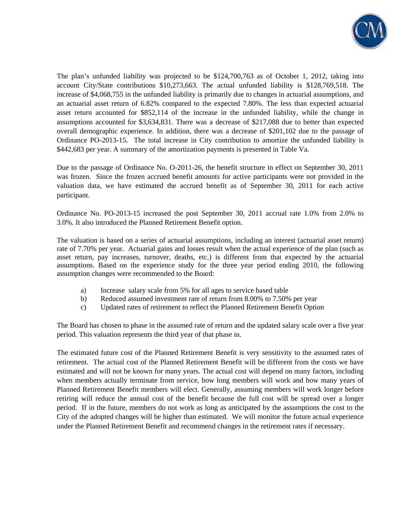

The plan's unfunded liability was projected to be \$124,700,763 as of October 1, 2012, taking into account City/State contributions \$10,273,663. The actual unfunded liability is \$128,769,518. The increase of \$4,068,755 in the unfunded liability is primarily due to changes in actuarial assumptions, and an actuarial asset return of 6.82% compared to the expected 7.80%. The less than expected actuarial asset return accounted for \$852,114 of the increase in the unfunded liability, while the change in assumptions accounted for \$3,634,831. There was a decrease of \$217,088 due to better than expected overall demographic experience. In addition, there was a decrease of \$201,102 due to the passage of Ordinance PO-2013-15. The total increase in City contribution to amortize the unfunded liability is \$442,683 per year. A summary of the amortization payments is presented in Table Va.

Due to the passage of Ordinance No. O-2011-26, the benefit structure in effect on September 30, 2011 was frozen. Since the frozen accrued benefit amounts for active participants were not provided in the valuation data, we have estimated the accrued benefit as of September 30, 2011 for each active participant.

Ordinance No. PO-2013-15 increased the post September 30, 2011 accrual rate 1.0% from 2.0% to 3.0%. It also introduced the Planned Retirement Benefit option.

The valuation is based on a series of actuarial assumptions, including an interest (actuarial asset return) rate of 7.70% per year. Actuarial gains and losses result when the actual experience of the plan (such as asset return, pay increases, turnover, deaths, etc.) is different from that expected by the actuarial assumptions. Based on the experience study for the three year period ending 2010, the following assumption changes were recommended to the Board:

- a) Increase salary scale from 5% for all ages to service based table
- b) Reduced assumed investment rate of return from 8.00% to 7.50% per year
- c) Updated rates of retirement to reflect the Planned Retirement Benefit Option

The Board has chosen to phase in the assumed rate of return and the updated salary scale over a five year period. This valuation represents the third year of that phase in.

The estimated future cost of the Planned Retirement Benefit is very sensitivity to the assumed rates of retirement. The actual cost of the Planned Retirement Benefit will be different from the costs we have estimated and will not be known for many years. The actual cost will depend on many factors, including when members actually terminate from service, how long members will work and how many years of Planned Retirement Benefit members will elect. Generally, assuming members will work longer before retiring will reduce the annual cost of the benefit because the full cost will be spread over a longer period. If in the future, members do not work as long as anticipated by the assumptions the cost to the City of the adopted changes will be higher than estimated. We will monitor the future actual experience under the Planned Retirement Benefit and recommend changes in the retirement rates if necessary.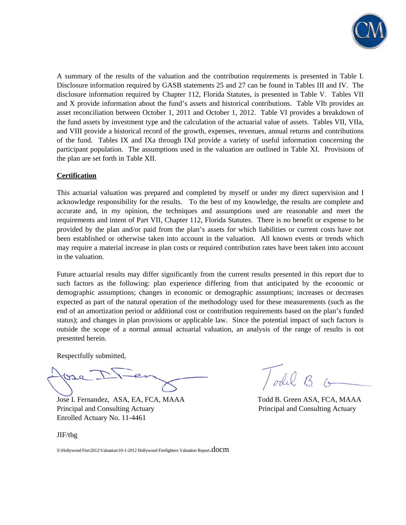

A summary of the results of the valuation and the contribution requirements is presented in Table I. Disclosure information required by GASB statements 25 and 27 can be found in Tables III and IV. The disclosure information required by Chapter 112, Florida Statutes, is presented in Table V. Tables VII and X provide information about the fund's assets and historical contributions. Table VIb provides an asset reconciliation between October 1, 2011 and October 1, 2012. Table VI provides a breakdown of the fund assets by investment type and the calculation of the actuarial value of assets. Tables VII, VIIa, and VIII provide a historical record of the growth, expenses, revenues, annual returns and contributions of the fund. Tables IX and IXa through IXd provide a variety of useful information concerning the participant population. The assumptions used in the valuation are outlined in Table XI. Provisions of the plan are set forth in Table XII.

#### **Certification**

This actuarial valuation was prepared and completed by myself or under my direct supervision and I acknowledge responsibility for the results. To the best of my knowledge, the results are complete and accurate and, in my opinion, the techniques and assumptions used are reasonable and meet the requirements and intent of Part VII, Chapter 112, Florida Statutes. There is no benefit or expense to be provided by the plan and/or paid from the plan's assets for which liabilities or current costs have not been established or otherwise taken into account in the valuation. All known events or trends which may require a material increase in plan costs or required contribution rates have been taken into account in the valuation.

Future actuarial results may differ significantly from the current results presented in this report due to such factors as the following: plan experience differing from that anticipated by the economic or demographic assumptions; changes in economic or demographic assumptions; increases or decreases expected as part of the natural operation of the methodology used for these measurements (such as the end of an amortization period or additional cost or contribution requirements based on the plan's funded status); and changes in plan provisions or applicable law. Since the potential impact of such factors is outside the scope of a normal annual actuarial valuation, an analysis of the range of results is not presented herein.

Respectfully submitted,

Gre

Jose I. Fernandez, ASA, EA, FCA, MAAA Todd B. Green ASA, FCA, MAAA Principal and Consulting Actuary Principal and Consulting Actuary Enrolled Actuary No. 11-4461

JIF/tbg

S:\Hollywood Fire\2012\Valuation\10-1-2012 Hollywood Firefighters Valuation Report.docm

/odel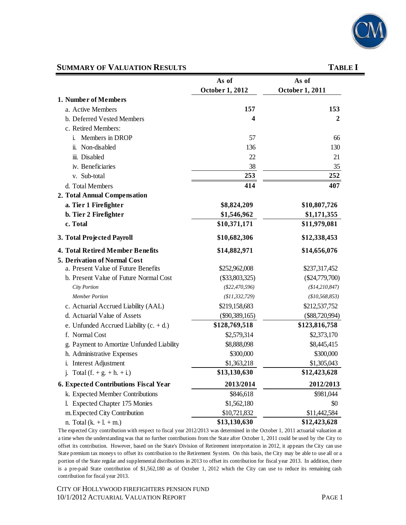

# **SUMMARY OF VALUATION RESULTS** TABLE I

|                                              | As of            | As of            |
|----------------------------------------------|------------------|------------------|
|                                              | October 1, 2012  | October 1, 2011  |
| 1. Number of Members                         |                  |                  |
| a. Active Members                            | 157              | 153              |
| b. Deferred Vested Members                   | 4                | $\mathbf{2}$     |
| c. Retired Members:                          |                  |                  |
| Members in DROP<br>i.                        | 57               | 66               |
| ii. Non-disabled                             | 136              | 130              |
| iii. Disabled                                | 22               | 21               |
| iv. Beneficiaries                            | 38               | 35               |
| v. Sub-total                                 | 253              | 252              |
| d. Total Members                             | 414              | 407              |
| 2. Total Annual Compensation                 |                  |                  |
| a. Tier 1 Firefighter                        | \$8,824,209      | \$10,807,726     |
| b. Tier 2 Firefighter                        | \$1,546,962      | \$1,171,355      |
| c. Total                                     | \$10,371,171     | \$11,979,081     |
| 3. Total Projected Payroll                   | \$10,682,306     | \$12,338,453     |
| <b>4. Total Retired Member Benefits</b>      | \$14,882,971     | \$14,656,076     |
| <b>5. Derivation of Normal Cost</b>          |                  |                  |
| a. Present Value of Future Benefits          | \$252,962,008    | \$237,317,452    |
| b. Present Value of Future Normal Cost       | $(\$33,803,325)$ | $(\$24,779,700)$ |
| City Portion                                 | $(\$22,470,596)$ | (\$14, 210, 847) |
| <b>Member Portion</b>                        | (\$11,332,729)   | (\$10,568,853)   |
| c. Actuarial Accrued Liability (AAL)         | \$219,158,683    | \$212,537,752    |
| d. Actuarial Value of Assets                 | $(\$90,389,165)$ | $(\$88,720,994)$ |
| e. Unfunded Accrued Liability $(c. + d.)$    | \$128,769,518    | \$123,816,758    |
| f. Normal Cost                               | \$2,579,314      | \$2,373,170      |
| g. Payment to Amortize Unfunded Liability    | \$8,888,098      | \$8,445,415      |
| h. Administrative Expenses                   | \$300,000        | \$300,000        |
| i. Interest Adjustment                       | \$1,363,218      | \$1,305,043      |
| j. Total $(f. + g. + h. + i.)$               | \$13,130,630     | \$12,423,628     |
| <b>6. Expected Contributions Fiscal Year</b> | 2013/2014        | 2012/2013        |
| k. Expected Member Contributions             | \$846,618        | \$981,044        |
| l. Expected Chapter 175 Monies               | \$1,562,180      | \$0              |
| m. Expected City Contribution                | \$10,721,832     | \$11,442,584     |
| n. Total $(k. + l. + m.)$                    | \$13,130,630     | \$12,423,628     |

The expected City contribution with respect to fiscal year 2012/2013 was determined in the October 1, 2011 actuarial valuation at a time when the understanding was that no further contributions from the State after October 1, 2011 could be used by the City to offset its contribution. However, based on the State's Division of Retirement interpretation in 2012, it appears the City can use State premium tax moneys to offset its contribution to the Retirement System. On this basis, the City may be able to use all or a portion of the State regular and supplemental distributions in 2013 to offset its contribution for fiscal year 2013. In addition, there is a pre-paid State contribution of \$1,562,180 as of October 1, 2012 which the City can use to reduce its remaining cash contribution for fiscal year 2013.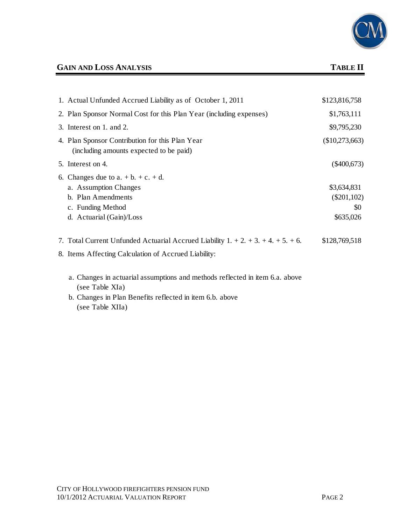

# **GAIN AND LOSS ANALYSIS TABLE II**

| 1. Actual Unfunded Accrued Liability as of October 1, 2011                                 | \$123,816,758    |
|--------------------------------------------------------------------------------------------|------------------|
| 2. Plan Sponsor Normal Cost for this Plan Year (including expenses)                        | \$1,763,111      |
| 3. Interest on 1. and 2.                                                                   | \$9,795,230      |
| 4. Plan Sponsor Contribution for this Plan Year<br>(including amounts expected to be paid) | $(\$10,273,663)$ |
| 5. Interest on 4.                                                                          | $(\$400,673)$    |
| 6. Changes due to $a. + b. + c. + d.$                                                      |                  |
| a. Assumption Changes                                                                      | \$3,634,831      |
| b. Plan Amendments                                                                         | $(\$201,102)$    |
| c. Funding Method                                                                          | \$0              |
| d. Actuarial (Gain)/Loss                                                                   | \$635,026        |
| 7. Total Current Unfunded Actuarial Accrued Liability $1. + 2. + 3. + 4. + 5. + 6.$        | \$128,769,518    |
| 8. Items Affecting Calculation of Accrued Liability:                                       |                  |

- a. Changes in actuarial assumptions and methods reflected in item 6.a. above (see Table XIa)
- b. Changes in Plan Benefits reflected in item 6.b. above (see Table XIIa)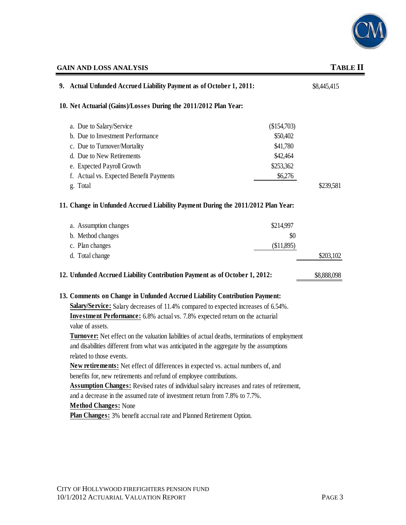

# **GAIN AND LOSS ANALYSIS TABLE II**

| 9. Actual Unfunded Accrued Liability Payment as of October 1, 2011:                                   |             |             |  |
|-------------------------------------------------------------------------------------------------------|-------------|-------------|--|
| 10. Net Actuarial (Gains)/Losses During the 2011/2012 Plan Year:                                      |             |             |  |
| a. Due to Salary/Service                                                                              | (\$154,703) |             |  |
| b. Due to Investment Performance                                                                      | \$50,402    |             |  |
| c. Due to Turnover/Mortality                                                                          | \$41,780    |             |  |
| d. Due to New Retirements                                                                             | \$42,464    |             |  |
| e. Expected Payroll Growth                                                                            | \$253,362   |             |  |
| f. Actual vs. Expected Benefit Payments                                                               | \$6,276     |             |  |
| g. Total                                                                                              |             | \$239,581   |  |
| 11. Change in Unfunded Accrued Liability Payment During the 2011/2012 Plan Year:                      |             |             |  |
| a. Assumption changes                                                                                 | \$214,997   |             |  |
| b. Method changes                                                                                     | \$0         |             |  |
| c. Plan changes                                                                                       | (\$11,895)  |             |  |
| d. Total change                                                                                       |             | \$203,102   |  |
| 12. Unfunded Accrued Liability Contribution Payment as of October 1, 2012:                            |             | \$8,888,098 |  |
| 13. Comments on Change in Unfunded Accrued Liability Contribution Payment:                            |             |             |  |
| Salary/Service: Salary decreases of 11.4% compared to expected increases of 6.54%.                    |             |             |  |
| <b>Investment Performance:</b> 6.8% actual vs. 7.8% expected return on the actuarial                  |             |             |  |
| value of assets.                                                                                      |             |             |  |
| <b>Turnover:</b> Net effect on the valuation liabilities of actual deaths, terminations of employment |             |             |  |
| and disabilities different from what was anticipated in the aggregate by the assumptions              |             |             |  |
| related to those events.                                                                              |             |             |  |
| <b>New retirements:</b> Net effect of differences in expected vs. actual numbers of, and              |             |             |  |
| benefits for, new retirements and refund of employee contributions.                                   |             |             |  |
| Assumption Changes: Revised rates of individual salary increases and rates of retirement,             |             |             |  |
| and a decrease in the assumed rate of investment return from 7.8% to 7.7%.                            |             |             |  |
| <b>Method Changes: None</b>                                                                           |             |             |  |

**Plan Changes:** 3% benefit accrual rate and Planned Retirement Option.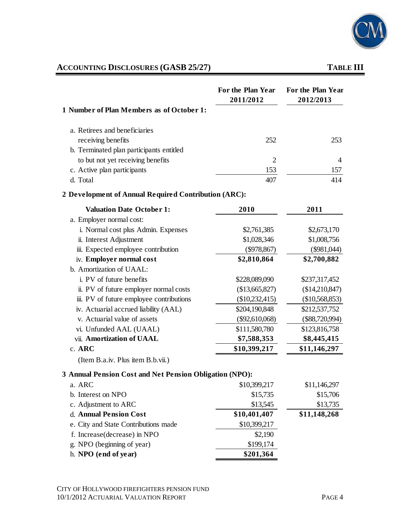

# **ACCOUNTING DISCLOSURES (GASB 25/27) TABLE III**

|                                                         | For the Plan Year<br>2011/2012 | For the Plan Year<br>2012/2013 |
|---------------------------------------------------------|--------------------------------|--------------------------------|
| 1 Number of Plan Members as of October 1:               |                                |                                |
| a. Retirees and beneficiaries                           |                                |                                |
| receiving benefits                                      | 252                            | 253                            |
| b. Terminated plan participants entitled                |                                |                                |
| to but not yet receiving benefits                       | $\overline{2}$                 | 4                              |
| c. Active plan participants                             | 153                            | 157                            |
| d. Total                                                | 407                            | 414                            |
| 2 Development of Annual Required Contribution (ARC):    |                                |                                |
| <b>Valuation Date October 1:</b>                        | 2010                           | 2011                           |
| a. Employer normal cost:                                |                                |                                |
| i. Normal cost plus Admin. Expenses                     | \$2,761,385                    | \$2,673,170                    |
| ii. Interest Adjustment                                 | \$1,028,346                    | \$1,008,756                    |
| iii. Expected employee contribution                     | $(\$978,867)$                  | $(\$981,044)$                  |
| iv. Employer normal cost                                | \$2,810,864                    | \$2,700,882                    |
| b. Amortization of UAAL:                                |                                |                                |
| i. PV of future benefits                                | \$228,089,090                  | \$237,317,452                  |
| ii. PV of future employer normal costs                  | (\$13,665,827)                 | (\$14,210,847)                 |
| iii. PV of future employee contributions                | $(\$10,232,415)$               | (\$10,568,853)                 |
| iv. Actuarial accrued liability (AAL)                   | \$204,190,848                  | \$212,537,752                  |
| v. Actuarial value of assets                            | $(\$92,610,068)$               | $(\$88,720,994)$               |
| vi. Unfunded AAL (UAAL)                                 | \$111,580,780                  | \$123,816,758                  |
| vii. Amortization of UAAL                               | \$7,588,353                    | \$8,445,415                    |
| $c.$ ARC                                                | \$10,399,217                   | \$11,146,297                   |
| (Item B.a.iv. Plus item B.b.vii.)                       |                                |                                |
| 3 Annual Pension Cost and Net Pension Obligation (NPO): |                                |                                |
| a. ARC                                                  | \$10,399,217                   | \$11,146,297                   |
| b. Interest on NPO                                      | \$15,735                       | \$15,706                       |
| c. Adjustment to ARC                                    | \$13,545                       | \$13,735                       |
| d. Annual Pension Cost                                  | \$10,401,407                   | \$11,148,268                   |
| e. City and State Contributions made                    | \$10,399,217                   |                                |
| f. Increase (decrease) in NPO                           | \$2,190                        |                                |
| g. NPO (beginning of year)                              | \$199,174                      |                                |
| h. NPO (end of year)                                    | \$201,364                      |                                |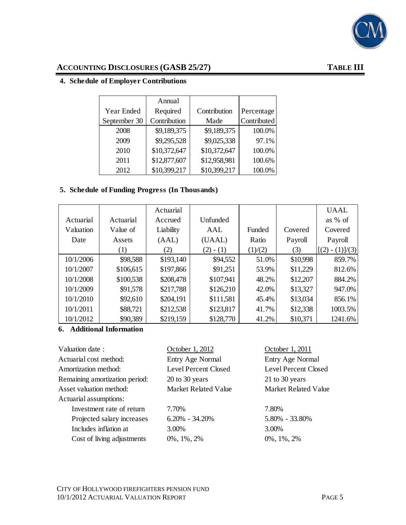

# **ACCOUNTING DISCLOSURES (GASB 25/27) TABLE III**

### **4. Schedule of Employer Contributions**

|              | Annual       |              |             |
|--------------|--------------|--------------|-------------|
| Year Ended   | Required     | Contribution | Percentage  |
| September 30 | Contribution | Made         | Contributed |
| 2008         | \$9,189,375  | \$9,189,375  | 100.0%      |
| 2009         | \$9,295,528  | \$9,025,338  | 97.1%       |
| 2010         | \$10,372,647 | \$10,372,647 | 100.0%      |
| 2011         | \$12,877,607 | \$12,958,981 | 100.6%      |
| 2012         | \$10,399,217 | \$10,399,217 | 100.0%      |

#### **5. Schedule of Funding Progress (In Thousands)**

|           |           | Actuarial |             |         |          | <b>UAAL</b>         |
|-----------|-----------|-----------|-------------|---------|----------|---------------------|
| Actuarial | Actuarial | Accrued   | Unfunded    |         |          | as % of             |
| Valuation | Value of  | Liability | AAL         | Funded  | Covered  | Covered             |
| Date      | Assets    | (AAL)     | (UAAL)      | Ratio   | Payroll  | Payroll             |
|           | (1)       | (2)       | $(2) - (1)$ | (1)/(2) | (3)      | $-(1)]/(3)$<br>[(2) |
| 10/1/2006 | \$98,588  | \$193,140 | \$94,552    | 51.0%   | \$10,998 | 859.7%              |
| 10/1/2007 | \$106,615 | \$197,866 | \$91,251    | 53.9%   | \$11,229 | 812.6%              |
| 10/1/2008 | \$100,538 | \$208,478 | \$107,941   | 48.2%   | \$12,207 | 884.2%              |
| 10/1/2009 | \$91,578  | \$217,788 | \$126,210   | 42.0%   | \$13,327 | 947.0%              |
| 10/1/2010 | \$92,610  | \$204,191 | \$111,581   | 45.4%   | \$13,034 | 856.1%              |
| 10/1/2011 | \$88,721  | \$212,538 | \$123,817   | 41.7%   | \$12,338 | 1003.5%             |
| 10/1/2012 | \$90,389  | \$219,159 | \$128,770   | 41.2%   | \$10,371 | 1241.6%             |

### **6. Additional Information**

| October 1, 2012      | October 1, 2011             |
|----------------------|-----------------------------|
| Entry Age Normal     | Entry Age Normal            |
| Level Percent Closed | <b>Level Percent Closed</b> |
| 20 to 30 years       | 21 to 30 years              |
| Market Related Value | Market Related Value        |
|                      |                             |
| 7.70%                | 7.80%                       |
| $6.20\% - 34.20\%$   | 5.80% - 33.80%              |
| 3.00%                | 3.00%                       |
| $0\%$ , 1%, 2%       | $0\%$ , $1\%$ , $2\%$       |
|                      |                             |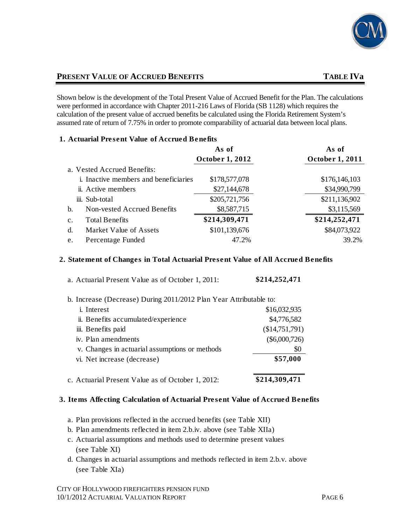

# **PRESENT VALUE OF ACCRUED BENEFITS TABLE IVa**

Shown below is the development of the Total Present Value of Accrued Benefit for the Plan. The calculations were performed in accordance with Chapter 2011-216 Laws of Florida (SB 1128) which requires the calculation of the present value of accrued benefits be calculated using the Florida Retirement System's assumed rate of return of 7.75% in order to promote comparability of actuarial data between local plans.

#### **1. Actuarial Present Value of Accrued Benefits**

|                                         | As of           | As of           |
|-----------------------------------------|-----------------|-----------------|
|                                         | October 1, 2012 | October 1, 2011 |
| a. Vested Accrued Benefits:             |                 |                 |
| i. Inactive members and beneficiaries   | \$178,577,078   | \$176,146,103   |
| ii. Active members                      | \$27,144,678    | \$34,990,799    |
| iii. Sub-total                          | \$205,721,756   | \$211,136,902   |
| b.<br>Non-vested Accrued Benefits       | \$8,587,715     | \$3,115,569     |
| <b>Total Benefits</b><br>$\mathbf{c}$ . | \$214,309,471   | \$214,252,471   |
| d.<br>Market Value of Assets            | \$101,139,676   | \$84,073,922    |
| Percentage Funded<br>e.                 | 47.2%           | 39.2%           |

#### **2. Statement of Changes in Total Actuarial Present Value of All Accrued Benefits**

| a. Actuarial Present Value as of October 1, 2011:                  | \$214,252,471   |
|--------------------------------------------------------------------|-----------------|
| b. Increase (Decrease) During 2011/2012 Plan Year Attributable to: |                 |
| <i>i.</i> Interest                                                 | \$16,032,935    |
| ii. Benefits accumulated/experience                                | \$4,776,582     |
| iii. Benefits paid                                                 | (\$14,751,791)  |
| iv. Plan amendments                                                | $(\$6,000,726)$ |
| v. Changes in actuarial assumptions or methods                     | \$0             |
| vi. Net increase (decrease)                                        | \$57,000        |
| c. Actuarial Present Value as of October 1, 2012:                  | \$214,309,471   |

#### **3. Items Affecting Calculation of Actuarial Present Value of Accrued Benefits**

- a. Plan provisions reflected in the accrued benefits (see Table XII)
- b. Plan amendments reflected in item 2.b.iv. above (see Table XIIa)
- c. Actuarial assumptions and methods used to determine present values (see Table XI)
- d. Changes in actuarial assumptions and methods reflected in item 2.b.v. above (see Table XIa)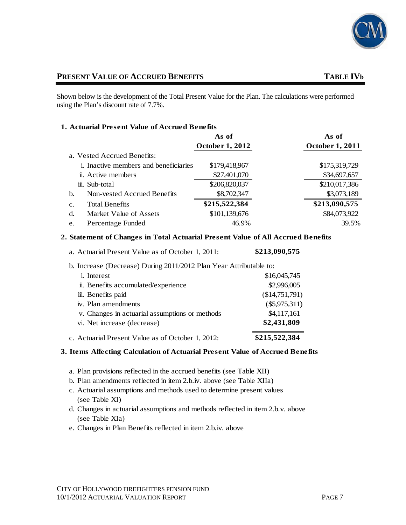

## **PRESENT VALUE OF ACCRUED BENEFITS TABLE IVb**

Shown below is the development of the Total Present Value for the Plan. The calculations were performed using the Plan's discount rate of 7.7%.

#### **1. Actuarial Present Value of Accrued Benefits**

|                                         | As of                  | As of                  |
|-----------------------------------------|------------------------|------------------------|
|                                         | <b>October 1, 2012</b> | <b>October 1, 2011</b> |
| a. Vested Accrued Benefits:             |                        |                        |
| i. Inactive members and beneficiaries   | \$179,418,967          | \$175,319,729          |
| ii. Active members                      | \$27,401,070           | \$34,697,657           |
| iii. Sub-total                          | \$206,820,037          | \$210,017,386          |
| Non-vested Accrued Benefits<br>b.       | \$8,702,347            | \$3,073,189            |
| <b>Total Benefits</b><br>$\mathbf{c}$ . | \$215,522,384          | \$213,090,575          |
| Market Value of Assets<br>d.            | \$101,139,676          | \$84,073,922           |
| Percentage Funded<br>e.                 | 46.9%                  | 39.5%                  |

#### **2. Statement of Changes in Total Actuarial Present Value of All Accrued Benefits**

| a. Actuarial Present Value as of October 1, 2011: | \$213,090,575 |
|---------------------------------------------------|---------------|
|                                                   |               |

| b. Increase (Decrease) During 2011/2012 Plan Year Attributable to: |                 |
|--------------------------------------------------------------------|-----------------|
| <i>i</i> . Interest                                                | \$16,045,745    |
| ii. Benefits accumulated/experience                                | \$2,996,005     |
| iii. Benefits paid                                                 | (\$14,751,791)  |
| iv. Plan amendments                                                | $(\$5,975,311)$ |
| v. Changes in actuarial assumptions or methods                     | \$4,117,161     |
| vi. Net increase (decrease)                                        | \$2,431,809     |
| c. Actuarial Present Value as of October 1, 2012:                  | \$215,522,384   |

#### **3. Items Affecting Calculation of Actuarial Present Value of Accrued Benefits**

- a. Plan provisions reflected in the accrued benefits (see Table XII)
- b. Plan amendments reflected in item 2.b.iv. above (see Table XIIa)
- c. Actuarial assumptions and methods used to determine present values (see Table XI)
- d. Changes in actuarial assumptions and methods reflected in item 2.b.v. above (see Table XIa)
- e. Changes in Plan Benefits reflected in item 2.b.iv. above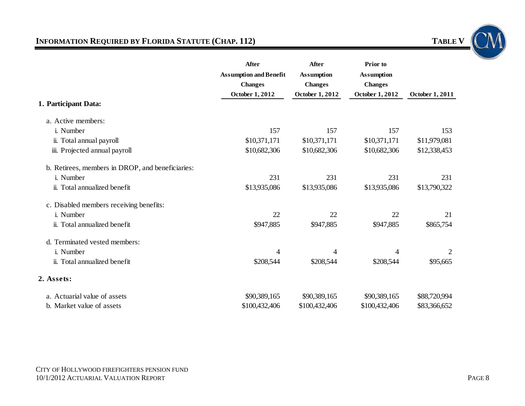# **INFORMATION REQUIRED BY FLORIDA STATUTE (CHAP. 112)**

| <b>TABLE</b> |
|--------------|
|--------------|



|                                                  | After                         | <b>After</b>           | Prior to          |                        |
|--------------------------------------------------|-------------------------------|------------------------|-------------------|------------------------|
|                                                  | <b>Assumption and Benefit</b> | <b>Assumption</b>      | <b>Assumption</b> |                        |
|                                                  | <b>Changes</b>                | <b>Changes</b>         | <b>Changes</b>    |                        |
|                                                  | <b>October 1, 2012</b>        | <b>October 1, 2012</b> | October 1, 2012   | <b>October 1, 2011</b> |
| 1. Participant Data:                             |                               |                        |                   |                        |
| a. Active members:                               |                               |                        |                   |                        |
| i. Number                                        | 157                           | 157                    | 157               | 153                    |
| ii. Total annual payroll                         | \$10,371,171                  | \$10,371,171           | \$10,371,171      | \$11,979,081           |
| iii. Projected annual payroll                    | \$10,682,306                  | \$10,682,306           | \$10,682,306      | \$12,338,453           |
| b. Retirees, members in DROP, and beneficiaries: |                               |                        |                   |                        |
| i. Number                                        | 231                           | 231                    | 231               | 231                    |
| ii. Total annualized benefit                     | \$13,935,086                  | \$13,935,086           | \$13,935,086      | \$13,790,322           |
| c. Disabled members receiving benefits:          |                               |                        |                   |                        |
| i. Number                                        | 22                            | 22                     | 22                | 21                     |
| ii. Total annualized benefit                     | \$947,885                     | \$947,885              | \$947,885         | \$865,754              |
| d. Terminated vested members:                    |                               |                        |                   |                        |
| i. Number                                        | 4                             | 4                      | $\overline{4}$    | 2                      |
| ii. Total annualized benefit                     | \$208,544                     | \$208,544              | \$208,544         | \$95,665               |
| 2. Assets:                                       |                               |                        |                   |                        |
| a. Actuarial value of assets                     | \$90,389,165                  | \$90,389,165           | \$90,389,165      | \$88,720,994           |
| b. Market value of assets                        | \$100,432,406                 | \$100,432,406          | \$100,432,406     | \$83,366,652           |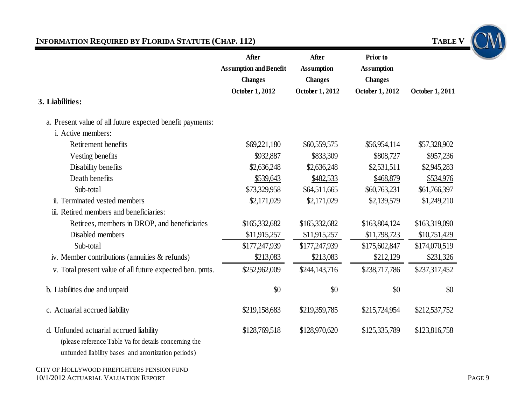# **INFORMATION REQUIRED BY FLORIDA STATUTE (CHAP. 112) TABLE V**

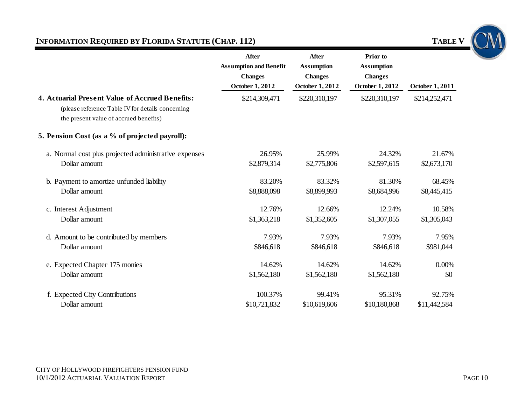# **INFORMATION REQUIRED BY FLORIDA STATUTE (CHAP. 112) TABLE V TABLE V**



|                                                                                                                                                | After<br><b>Assumption and Benefit</b><br><b>Changes</b><br><b>October 1, 2012</b> | <b>After</b><br><b>Assumption</b><br><b>Changes</b><br><b>October 1, 2012</b> | Prior to<br><b>Assumption</b><br><b>Changes</b><br><b>October 1, 2012</b> | <b>October 1, 2011</b> |
|------------------------------------------------------------------------------------------------------------------------------------------------|------------------------------------------------------------------------------------|-------------------------------------------------------------------------------|---------------------------------------------------------------------------|------------------------|
| 4. Actuarial Present Value of Accrued Benefits:<br>(please reference Table IV for details concerning<br>the present value of accrued benefits) | \$214,309,471                                                                      | \$220,310,197                                                                 | \$220,310,197                                                             | \$214,252,471          |
| 5. Pension Cost (as a % of projected payroll):                                                                                                 |                                                                                    |                                                                               |                                                                           |                        |
| a. Normal cost plus projected administrative expenses                                                                                          | 26.95%                                                                             | 25.99%                                                                        | 24.32%                                                                    | 21.67%                 |
| Dollar amount                                                                                                                                  | \$2,879,314                                                                        | \$2,775,806                                                                   | \$2,597,615                                                               | \$2,673,170            |
| b. Payment to amortize unfunded liability                                                                                                      | 83.20%                                                                             | 83.32%                                                                        | 81.30%                                                                    | 68.45%                 |
| Dollar amount                                                                                                                                  | \$8,888,098                                                                        | \$8,899,993                                                                   | \$8,684,996                                                               | \$8,445,415            |
| c. Interest Adjustment                                                                                                                         | 12.76%                                                                             | 12.66%                                                                        | 12.24%                                                                    | 10.58%                 |
| Dollar amount                                                                                                                                  | \$1,363,218                                                                        | \$1,352,605                                                                   | \$1,307,055                                                               | \$1,305,043            |
| d. Amount to be contributed by members                                                                                                         | 7.93%                                                                              | 7.93%                                                                         | 7.93%                                                                     | 7.95%                  |
| Dollar amount                                                                                                                                  | \$846,618                                                                          | \$846,618                                                                     | \$846,618                                                                 | \$981,044              |
| e. Expected Chapter 175 monies                                                                                                                 | 14.62%                                                                             | 14.62%                                                                        | 14.62%                                                                    | 0.00%                  |
| Dollar amount                                                                                                                                  | \$1,562,180                                                                        | \$1,562,180                                                                   | \$1,562,180                                                               | \$0                    |
| f. Expected City Contributions                                                                                                                 | 100.37%                                                                            | 99.41%                                                                        | 95.31%                                                                    | 92.75%                 |

\$10,721,832 \$10,619,606 \$10,180,868 \$11,442,584

Dollar amount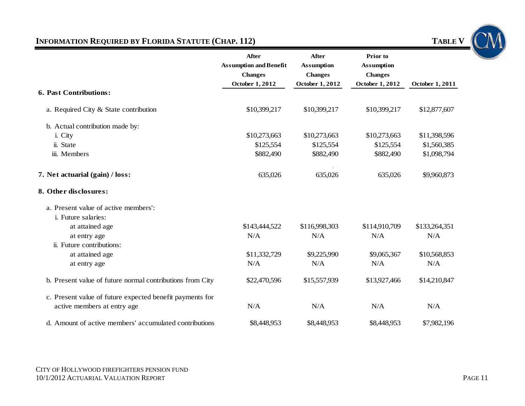# **INFORMATION REQUIRED BY FLORIDA STATUTE (CHAP. 112)** TABLE V

|                                                           | <b>After</b><br><b>Assumption and Benefit</b> | After<br><b>Assumption</b> | Prior to<br><b>Assumption</b> |                 |
|-----------------------------------------------------------|-----------------------------------------------|----------------------------|-------------------------------|-----------------|
|                                                           | <b>Changes</b>                                | <b>Changes</b>             | <b>Changes</b>                |                 |
|                                                           | October 1, 2012                               | October 1, 2012            | October 1, 2012               | October 1, 2011 |
| <b>6. Past Contributions:</b>                             |                                               |                            |                               |                 |
| a. Required City & State contribution                     | \$10,399,217                                  | \$10,399,217               | \$10,399,217                  | \$12,877,607    |
| b. Actual contribution made by:                           |                                               |                            |                               |                 |
| i. City                                                   | \$10,273,663                                  | \$10,273,663               | \$10,273,663                  | \$11,398,596    |
| ii. State                                                 | \$125,554                                     | \$125,554                  | \$125,554                     | \$1,560,385     |
| iii. Members                                              | \$882,490                                     | \$882,490                  | \$882,490                     | \$1,098,794     |
| 7. Net actuarial (gain) / loss:                           | 635,026                                       | 635,026                    | 635,026                       | \$9,960,873     |
| 8. Other disclosures:                                     |                                               |                            |                               |                 |
| a. Present value of active members':                      |                                               |                            |                               |                 |
| <i>i.</i> Future salaries:                                |                                               |                            |                               |                 |
| at attained age                                           | \$143,444,522                                 | \$116,998,303              | \$114,910,709                 | \$133,264,351   |
| at entry age                                              | N/A                                           | N/A                        | N/A                           | N/A             |
| ii. Future contributions:                                 |                                               |                            |                               |                 |
| at attained age                                           | \$11,332,729                                  | \$9,225,990                | \$9,065,367                   | \$10,568,853    |
| at entry age                                              | N/A                                           | N/A                        | N/A                           | N/A             |
| b. Present value of future normal contributions from City | \$22,470,596                                  | \$15,557,939               | \$13,927,466                  | \$14,210,847    |
| c. Present value of future expected benefit payments for  |                                               |                            |                               |                 |
| active members at entry age                               | N/A                                           | N/A                        | N/A                           | N/A             |
| d. Amount of active members' accumulated contributions    | \$8,448,953                                   | \$8,448,953                | \$8,448,953                   | \$7,982,196     |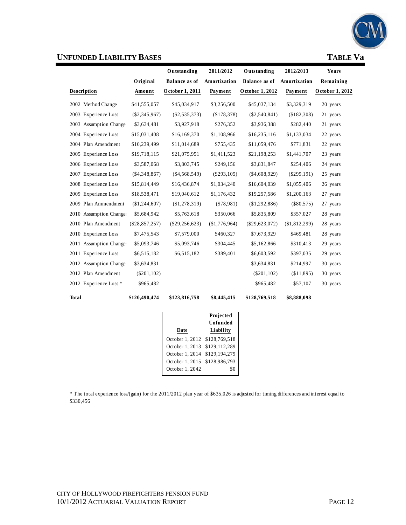

| <b>UNFUNDED LIABILITY BASES</b> |                  |                      |               |                      |               | <b>TABLE Va</b> |
|---------------------------------|------------------|----------------------|---------------|----------------------|---------------|-----------------|
|                                 |                  | Outstanding          | 2011/2012     | Outstanding          | 2012/2013     | Years           |
|                                 | Original         | <b>Balance as of</b> | Amortization  | <b>Balance as of</b> | Amortization  | Remaining       |
| Description                     | Amount           | October 1, 2011      | Payment       | October 1, 2012      | Payment       | October 1, 2012 |
| 2002 Method Change              | \$41,555,057     | \$45,034,917         | \$3,256,500   | \$45,037,134         | \$3,329,319   | 20 years        |
| 2003 Experience Loss            | $(\$2,345,967)$  | $(\$2,535,373)$      | (\$178,378)   | $(\$2,540,841)$      | (\$182,308)   | 21 years        |
| 2003 Assumption Change          | \$3,634,481      | \$3,927,918          | \$276,352     | \$3,936,388          | \$282,440     | 21 years        |
| 2004 Experience Loss            | \$15,031,408     | \$16,169,370         | \$1,108,966   | \$16,235,116         | \$1,133,034   | 22 years        |
| 2004 Plan Amendment             | \$10,239,499     | \$11,014,689         | \$755,435     | \$11,059,476         | \$771,831     | 22 years        |
| 2005 Experience Loss            | \$19,718,115     | \$21,075,951         | \$1,411,523   | \$21,198,253         | \$1,441,707   | 23 years        |
| 2006 Experience Loss            | \$3,587,068      | \$3,803,745          | \$249,156     | \$3,831,847          | \$254,406     | 24 years        |
| 2007 Experience Loss            | $(\$4,348,867)$  | $(\$4,568,549)$      | $(\$293,105)$ | $(\$4,608,929)$      | $(\$299,191)$ | 25 years        |
| 2008 Experience Loss            | \$15,814,449     | \$16,436,874         | \$1,034,240   | \$16,604,039         | \$1,055,406   | 26 years        |
| 2009 Experience Loss            | \$18,538,471     | \$19,040,612         | \$1,176,432   | \$19,257,586         | \$1,200,163   | 27 years        |
| 2009 Plan Ammendment            | (\$1,244,607)    | (\$1,278,319)        | $(\$78,981)$  | (\$1,292,886)        | $(\$80,575)$  | 27 years        |
| 2010 Assumption Change:         | \$5,684,942      | \$5,763,618          | \$350,066     | \$5,835,809          | \$357,027     | 28 years        |
| 2010 Plan Amendment             | $(\$28,857,257)$ | $(\$29,256,623)$     | (\$1,776,964) | $(\$29,623,072)$     | (\$1,812,299) | 28 years        |
| 2010 Experience Loss            | \$7,475,543      | \$7,579,000          | \$460,327     | \$7,673,929          | \$469,481     | 28 years        |
| 2011 Assumption Changes         | \$5,093,746      | \$5,093,746          | \$304,445     | \$5,162,866          | \$310,413     | 29 years        |
| 2011 Experience Loss            | \$6,515,182      | \$6,515,182          | \$389,401     | \$6,603,592          | \$397,035     | 29 years        |
| 2012 Assumption Change          | \$3,634,831      |                      |               | \$3,634,831          | \$214,997     | 30 years        |
| 2012 Plan Amendment             | $(\$201, 102)$   |                      |               | $(\$201, 102)$       | (\$11,895)    | 30 years        |
| 2012 Experience Loss *          | \$965,482        |                      |               | \$965,482            | \$57,107      | 30 years        |
| <b>Total</b>                    | \$120,490,474    | \$123,816,758        | \$8,445,415   | \$128,769,518        | \$8,888,098   |                 |

|                 | Projected     |
|-----------------|---------------|
|                 | Unfunded      |
| Date            | Liability     |
| October 1, 2012 | \$128,769,518 |
| October 1, 2013 | \$129,112,289 |
| October 1, 2014 | \$129,194,279 |
| October 1, 2015 | \$128,986,793 |
| October 1, 2042 |               |

\* The total experience loss/(gain) for the 2011/2012 plan year of \$635,026 is adjusted for timing differences and interest equal to \$330,456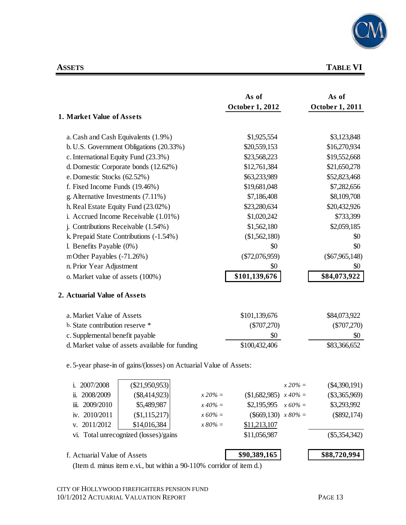

# **ASSETS TABLE VI**

| 1. Market Value of Assets                                          | As of<br>October 1, 2012 | As of<br>October 1, 2011       |
|--------------------------------------------------------------------|--------------------------|--------------------------------|
|                                                                    |                          |                                |
| a. Cash and Cash Equivalents (1.9%)                                | \$1,925,554              | \$3,123,848                    |
| b. U.S. Government Obligations (20.33%)                            | \$20,559,153             | \$16,270,934                   |
| c. International Equity Fund (23.3%)                               | \$23,568,223             | \$19,552,668                   |
| d. Domestic Corporate bonds (12.62%)                               | \$12,761,384             | \$21,650,278                   |
| e. Domestic Stocks (62.52%)                                        | \$63,233,989             | \$52,823,468                   |
| f. Fixed Income Funds (19.46%)                                     | \$19,681,048             | \$7,282,656                    |
| g. Alternative Investments (7.11%)                                 | \$7,186,408              | \$8,109,708                    |
| h. Real Estate Equity Fund (23.02%)                                | \$23,280,634             | \$20,432,926                   |
| i. Accrued Income Receivable (1.01%)                               | \$1,020,242              | \$733,399                      |
| j. Contributions Receivable (1.54%)                                | \$1,562,180              | \$2,059,185                    |
| k. Prepaid State Contributions (-1.54%)                            | (\$1,562,180)            | \$0                            |
| l. Benefits Payable $(0\%)$                                        | \$0                      | \$0                            |
| m Other Payables (-71.26%)                                         | $(\$72,076,959)$         | $(\$67,965,148)$               |
| n. Prior Year Adjustment                                           | \$0                      | \$0                            |
| o. Market value of assets (100%)                                   | \$101,139,676            | \$84,073,922                   |
| 2. Actuarial Value of Assets                                       |                          |                                |
| a. Market Value of Assets                                          | \$101,139,676            | \$84,073,922                   |
| b. State contribution reserve *                                    | $(\$707,270)$            | $(\$707,270)$                  |
| c. Supplemental benefit payable                                    | \$0                      | \$0                            |
| d. Market value of assets available for funding                    | \$100,432,406            | \$83,366,652                   |
| e. 5-year phase-in of gains/(losses) on Actuarial Value of Assets: |                          |                                |
| $(\$21,950,953)$<br>2007/2008<br>1.                                |                          | $(\$4,390,191)$<br>$x 20\% =$  |
| 2008/2009<br>$(\$8,414,923)$<br>$x 20\% =$<br>ii.                  | \$1,682,985              | $(\$3,365,969)$<br>$x\,40\%$ = |
| \$5,489,987<br>$x\,40\% =$<br>2009/2010<br>iïi.                    | \$2,195,995              | $x 60\% =$<br>\$3,293,992      |
| iv. 2010/2011<br>(\$1,115,217)<br>$x\,60\% =$                      | $(\$669,130)$ $x 80\% =$ | $(\$892,174)$                  |
| 2011/2012<br>\$14,016,384<br>$x\,80\% =$<br>V.                     | \$11,213,107             |                                |
| vi. Total unrecognized (losses)/gains                              | \$11,056,987             | $(\$5,354,342)$                |
| f. Actuarial Value of Assets                                       | \$90,389,165             | \$88,720,994                   |

(Item d. minus item e.vi., but within a 90-110% corridor of item d.)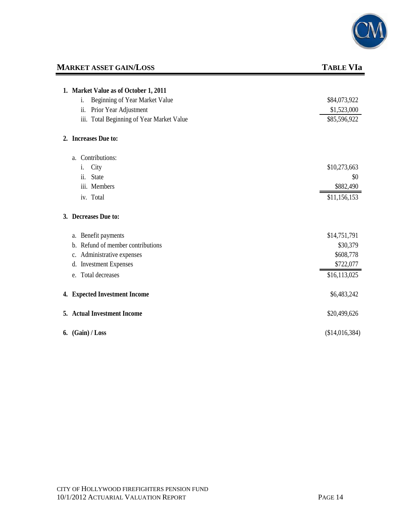

# **MARKET ASSET GAIN/LOSS** TABLE VIa

| 1. Market Value as of October 1, 2011        |                |
|----------------------------------------------|----------------|
| Beginning of Year Market Value<br>i.         | \$84,073,922   |
| Prior Year Adjustment<br>ii.                 | \$1,523,000    |
| Total Beginning of Year Market Value<br>111. | \$85,596,922   |
| 2. Increases Due to:                         |                |
| a. Contributions:                            |                |
| City<br>i.                                   | \$10,273,663   |
| ii.<br><b>State</b>                          | \$0            |
| iii. Members                                 | \$882,490      |
| iv. Total                                    | \$11,156,153   |
| 3. Decreases Due to:                         |                |
| Benefit payments<br>a.                       | \$14,751,791   |
| Refund of member contributions<br>b.         | \$30,379       |
| Administrative expenses<br>c.                | \$608,778      |
| <b>Investment Expenses</b><br>d.             | \$722,077      |
| e. Total decreases                           | \$16,113,025   |
| 4. Expected Investment Income                | \$6,483,242    |
| 5. Actual Investment Income                  | \$20,499,626   |
| 6. $(Gain) / Loss$                           | (\$14,016,384) |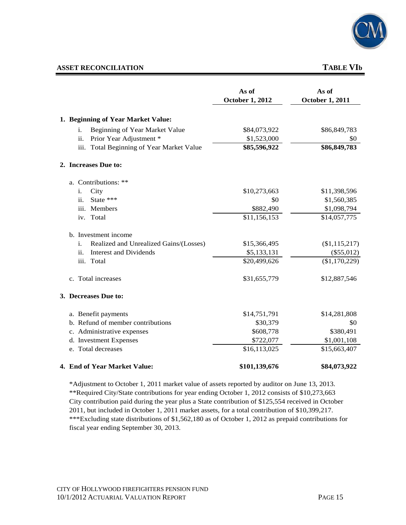

### **ASSET RECONCILIATION** TABLE VIb

|                                              | As of<br><b>October 1, 2012</b> | As of<br><b>October 1, 2011</b> |
|----------------------------------------------|---------------------------------|---------------------------------|
| 1. Beginning of Year Market Value:           |                                 |                                 |
| Beginning of Year Market Value<br>i.         | \$84,073,922                    | \$86,849,783                    |
| ii.<br>Prior Year Adjustment *               | \$1,523,000                     | \$0                             |
| iii. Total Beginning of Year Market Value    | \$85,596,922                    | \$86,849,783                    |
| 2. Increases Due to:                         |                                 |                                 |
| a. Contributions: **                         |                                 |                                 |
| City<br>i.                                   | \$10,273,663                    | \$11,398,596                    |
| State ***<br>ii.                             | \$0                             | \$1,560,385                     |
| iii. Members                                 | \$882,490                       | \$1,098,794                     |
| Total<br>iv.                                 | \$11,156,153                    | \$14,057,775                    |
| b. Investment income                         |                                 |                                 |
| Realized and Unrealized Gains/(Losses)<br>i. | \$15,366,495                    | (\$1,115,217)                   |
| <b>Interest and Dividends</b><br>ii.         | \$5,133,131                     | $(\$55,012)$                    |
| iii.<br>Total                                | \$20,499,626                    | (\$1,170,229)                   |
| c. Total increases                           | \$31,655,779                    | \$12,887,546                    |
| 3. Decreases Due to:                         |                                 |                                 |
| a. Benefit payments                          | \$14,751,791                    | \$14,281,808                    |
| b. Refund of member contributions            | \$30,379                        | \$0                             |
| c. Administrative expenses                   | \$608,778                       | \$380,491                       |
| d. Investment Expenses                       | \$722,077                       | \$1,001,108                     |
| e. Total decreases                           | \$16,113,025                    | \$15,663,407                    |
| 4. End of Year Market Value:                 | \$101,139,676                   | \$84,073,922                    |

\*Adjustment to October 1, 2011 market value of assets reported by auditor on June 13, 2013. \*\*Required City/State contributions for year ending October 1, 2012 consists of \$10,273,663 City contribution paid during the year plus a State contribution of \$125,554 received in October 2011, but included in October 1, 2011 market assets, for a total contribution of \$10,399,217. \*\*\*Excluding state distributions of \$1,562,180 as of October 1, 2012 as prepaid contributions for fiscal year ending September 30, 2013.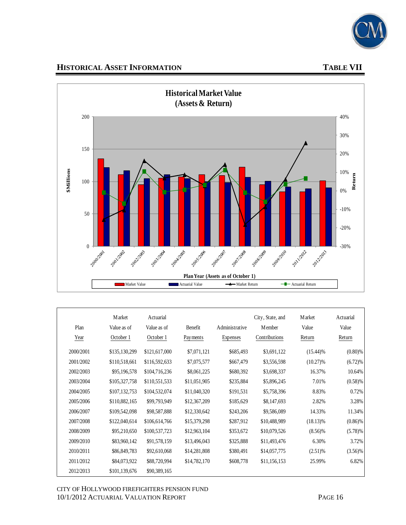

# **HISTORICAL ASSET INFORMATION TABLE VII**



| Plan<br>Year | <b>M</b> arket<br>Value as of<br>October 1 | Actuarial<br>Value as of<br>October 1 | Benefit<br>Payments | Administrative<br>Expenses | City, State, and<br><b>M</b> ember<br>Contributions | <b>M</b> arket<br>Value<br>Return | Actuarial<br>Value<br>Return |
|--------------|--------------------------------------------|---------------------------------------|---------------------|----------------------------|-----------------------------------------------------|-----------------------------------|------------------------------|
| 2000/2001    | \$135,130,299                              | \$121,617,000                         | \$7,071,121         | \$685,493                  | \$3,691,122                                         | $(15.44)\%$                       | $(0.80)$ %                   |
| 2001/2002    | \$110,518,661                              | \$116,592,633                         | \$7,075,577         | \$667,479                  | \$3,556,598                                         | $(10.27)\%$                       | (6.72)%                      |
| 2002/2003    | \$95,196,578                               | \$104,716,236                         | \$8,061,225         | \$680,392                  | \$3,698,337                                         | 16.37%                            | 10.64%                       |
| 2003/2004    | \$105,327,758                              | \$110,551,533                         | \$11,051,905        | \$235,884                  | \$5,896,245                                         | 7.01%                             | (0.58)%                      |
| 2004/2005    | \$107,132,753                              | \$104,532,074                         | \$11,040,320        | \$191,531                  | \$5,758,396                                         | 8.83%                             | 0.72%                        |
| 2005/2006    | \$110,882,165                              | \$99,793,949                          | \$12,367,209        | \$185,629                  | \$8,147,693                                         | 2.82%                             | 3.28%                        |
| 2006/2007    | \$109,542,098                              | \$98,587,888                          | \$12,330,642        | \$243,206                  | \$9,586,089                                         | 14.33%                            | 11.34%                       |
| 2007/2008    | \$122,040,614                              | \$106,614,766                         | \$15,379,298        | \$287,912                  | \$10,488,989                                        | $(18.13)\%$                       | $(0.86)\%$                   |
| 2008/2009    | \$95,210,650                               | \$100,537,723                         | \$12,963,104        | \$353,672                  | \$10,079,526                                        | $(8.56)\%$                        | (5.78)%                      |
| 2009/2010    | \$83,960,142                               | \$91,578,159                          | \$13,496,043        | \$325,888                  | \$11,493,476                                        | 6.30%                             | 3.72%                        |
| 2010/2011    | \$86,849,783                               | \$92,610,068                          | \$14,281,808        | \$380,491                  | \$14,057,775                                        | $(2.51)$ %                        | $(3.56)\%$                   |
| 2011/2012    | \$84,073,922                               | \$88,720,994                          | \$14,782,170        | \$608,778                  | \$11,156,153                                        | 25.99%                            | 6.82%                        |
| 2012/2013    | \$101,139,676                              | \$90,389,165                          |                     |                            |                                                     |                                   |                              |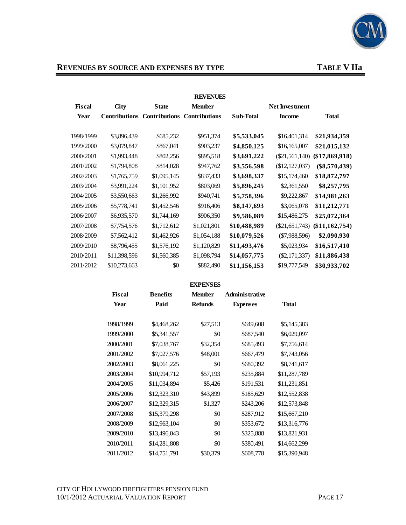

# REVENUES BY SOURCE AND EXPENSES BY TYPE **TABLE V** IIa

|               |                      |                      | <b>REVENUES</b>      |              |                       |                  |
|---------------|----------------------|----------------------|----------------------|--------------|-----------------------|------------------|
| <b>Fiscal</b> | City                 | <b>State</b>         | <b>Member</b>        |              | <b>Net Investment</b> |                  |
| Year          | <b>Contributions</b> | <b>Contributions</b> | <b>Contributions</b> | Sub-Total    | <b>Income</b>         | <b>Total</b>     |
| 1998/1999     |                      |                      |                      | \$5,533,045  |                       | \$21,934,359     |
|               | \$3,896,439          | \$685,232            | \$951,374            |              | \$16,401,314          |                  |
| 1999/2000     | \$3,079,847          | \$867,041            | \$903,237            | \$4,850,125  | \$16,165,007          | \$21,015,132     |
| 2000/2001     | \$1,993,448          | \$802,256            | \$895,518            | \$3,691,222  | $(\$21,561,140)$      | $(\$17,869,918)$ |
| 2001/2002     | \$1,794,808          | \$814,028            | \$947,762            | \$3,556,598  | (\$12, 127, 037)      | $(\$8,570,439)$  |
| 2002/2003     | \$1,765,759          | \$1,095,145          | \$837,433            | \$3,698,337  | \$15,174,460          | \$18,872,797     |
| 2003/2004     | \$3,991,224          | \$1,101,952          | \$803,069            | \$5,896,245  | \$2,361,550           | \$8,257,795      |
| 2004/2005     | \$3,550,663          | \$1,266,992          | \$940,741            | \$5,758,396  | \$9,222,867           | \$14,981,263     |
| 2005/2006     | \$5,778,741          | \$1,452,546          | \$916,406            | \$8,147,693  | \$3,065,078           | \$11,212,771     |
| 2006/2007     | \$6,935,570          | \$1,744,169          | \$906,350            | \$9,586,089  | \$15,486,275          | \$25,072,364     |
| 2007/2008     | \$7,754,576          | \$1,712,612          | \$1,021,801          | \$10,488,989 | $(\$21,651,743)$      | $(\$11,162,754)$ |
| 2008/2009     | \$7,562,412          | \$1,462,926          | \$1,054,188          | \$10,079,526 | $(\$7,988,596)$       | \$2,090,930      |
| 2009/2010     | \$8,796,455          | \$1,576,192          | \$1,120,829          | \$11,493,476 | \$5,023,934           | \$16,517,410     |
| 2010/2011     | \$11,398,596         | \$1,560,385          | \$1,098,794          | \$14,057,775 | $(\$2,171,337)$       | \$11,886,438     |
| 2011/2012     | \$10,273,663         | \$0                  | \$882,490            | \$11,156,153 | \$19,777,549          | \$30,933,702     |

#### **EXPENSES**

| Fiscal    | <b>Benefits</b> | <b>Member</b>  | Administrative  |              |
|-----------|-----------------|----------------|-----------------|--------------|
| Year      | Paid            | <b>Refunds</b> | <b>Expenses</b> | <b>Total</b> |
|           |                 |                |                 |              |
| 1998/1999 | \$4,468,262     | \$27,513       | \$649,608       | \$5,145,383  |
| 1999/2000 | \$5,341,557     | \$0            | \$687,540       | \$6,029,097  |
| 2000/2001 | \$7,038,767     | \$32,354       | \$685,493       | \$7,756,614  |
| 2001/2002 | \$7,027,576     | \$48,001       | \$667,479       | \$7,743,056  |
| 2002/2003 | \$8,061,225     | \$0            | \$680,392       | \$8,741,617  |
| 2003/2004 | \$10,994,712    | \$57,193       | \$235,884       | \$11,287,789 |
| 2004/2005 | \$11,034,894    | \$5,426        | \$191,531       | \$11,231,851 |
| 2005/2006 | \$12,323,310    | \$43,899       | \$185,629       | \$12,552,838 |
| 2006/2007 | \$12,329,315    | \$1,327        | \$243,206       | \$12,573,848 |
| 2007/2008 | \$15,379,298    | \$0            | \$287,912       | \$15,667,210 |
| 2008/2009 | \$12,963,104    | \$0            | \$353,672       | \$13,316,776 |
| 2009/2010 | \$13,496,043    | \$0            | \$325,888       | \$13,821,931 |
| 2010/2011 | \$14,281,808    | \$0            | \$380,491       | \$14,662,299 |
| 2011/2012 | \$14,751,791    | \$30,379       | \$608,778       | \$15,390,948 |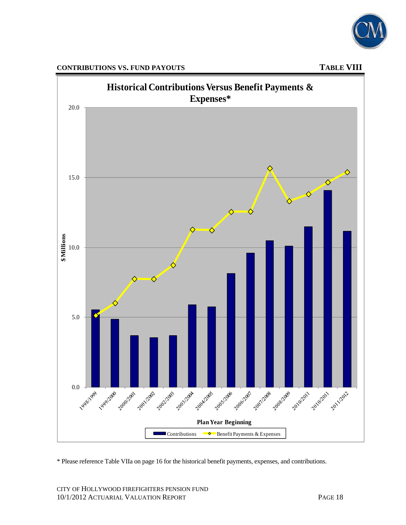





\* Please reference Table VIIa on page 16 for the historical benefit payments, expenses, and contributions.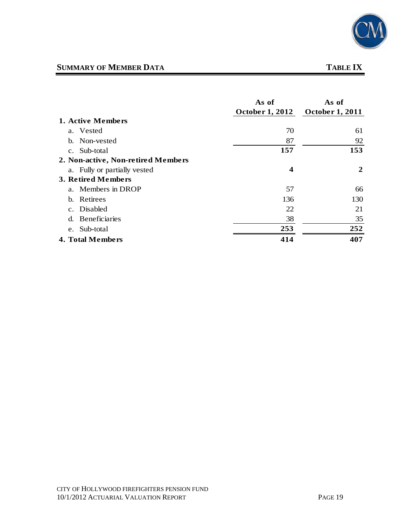

## **SUMMARY OF MEMBER DATA** TABLE IX

## **As of As of October 1, 2012 October 1, 2011 1. Active Members** a. Vested 61 b. Non-vested 87 92 c. Sub-total **157 153 2. Non-active, Non-retired Members** a. Fully or partially vested **4 2 3. Retired Members** a. Members in DROP 57 66 b. Retirees 136 130 c. Disabled 22 21 d. Beneficiaries 38 35 e. Sub-total **253 252 4. Total Members 414 407**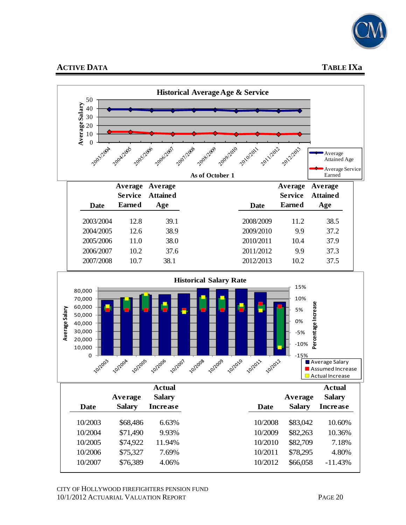

# **ACTIVE DATA** TABLE IXa





|               | <b>Actual</b> |             |               | <b>Actual</b>   |
|---------------|---------------|-------------|---------------|-----------------|
| Average       | <b>Salary</b> |             | Average       | <b>Salary</b>   |
| <b>Salary</b> | Increase      | <b>Date</b> | <b>Salary</b> | <b>Increase</b> |
| \$68,486      | 6.63%         | 10/2008     | \$83,042      | 10.60%          |
| \$71,490      | 9.93%         | 10/2009     | \$82,263      | 10.36%          |
| \$74,922      | 11.94%        | 10/2010     | \$82,709      | 7.18%           |
| \$75,327      | 7.69%         | 10/2011     | \$78,295      | 4.80%           |
| \$76,389      | 4.06%         | 10/2012     | \$66,058      | $-11.43%$       |
|               |               |             |               |                 |

CITY OF HOLLYWOOD FIREFIGHTERS PENSION FUND 10/1/2012 ACTUARIAL VALUATION REPORT PAGE 20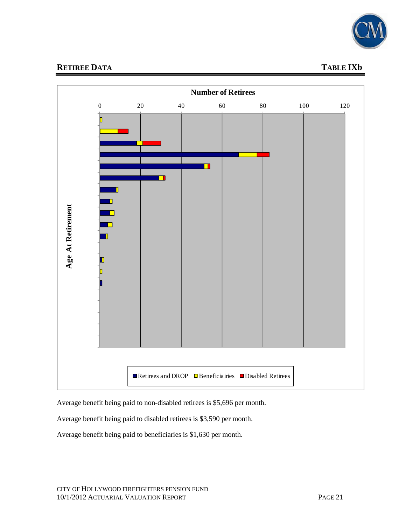

# **RETIREE DATA** TABLE IXb



Average benefit being paid to non-disabled retirees is \$5,696 per month.

Average benefit being paid to disabled retirees is \$3,590 per month.

Average benefit being paid to beneficiaries is \$1,630 per month.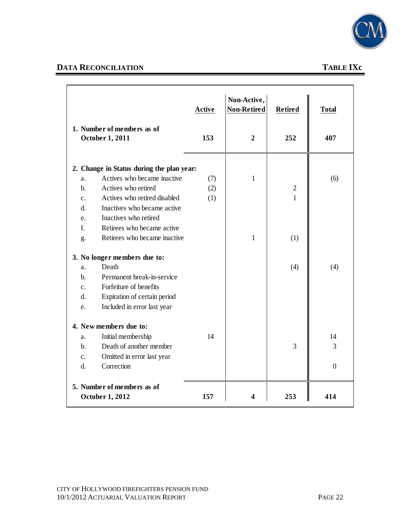

# **DATA RECONCILIATION TABLE IXc**

| 1. Number of members as of<br>October 1, 2011  | <b>Active</b><br>153 | Non-Active,<br>Non-Retired<br>$\boldsymbol{2}$ | <b>Retired</b><br>252 | <b>Total</b><br>407 |
|------------------------------------------------|----------------------|------------------------------------------------|-----------------------|---------------------|
|                                                |                      |                                                |                       |                     |
| 2. Change in Status during the plan year:      |                      |                                                |                       |                     |
| Actives who became inactive<br>a.              | (7)                  | 1                                              |                       | (6)                 |
| $b$ .<br>Actives who retired                   | (2)                  |                                                | $\overline{2}$        |                     |
| Actives who retired disabled<br>$\mathbf{c}$ . | (1)                  |                                                | $\mathbf{1}$          |                     |
| Inactives who became active<br>d.              |                      |                                                |                       |                     |
| Inactives who retired<br>e.                    |                      |                                                |                       |                     |
| f.<br>Retirees who became active               |                      |                                                |                       |                     |
| Retirees who became inactive<br>g.             |                      | $\mathbf{1}$                                   | (1)                   |                     |
| 3. No longer members due to:                   |                      |                                                |                       |                     |
| Death<br>a.                                    |                      |                                                | (4)                   | (4)                 |
| Permanent break-in-service<br>$\mathbf{b}$ .   |                      |                                                |                       |                     |
| Forfeiture of benefits<br>$\mathbf{c}$ .       |                      |                                                |                       |                     |
| Expiration of certain period<br>d.             |                      |                                                |                       |                     |
| Included in error last year<br>e.              |                      |                                                |                       |                     |
| 4. New members due to:                         |                      |                                                |                       |                     |
| Initial membership<br>a.                       | 14                   |                                                |                       | 14                  |
| Death of another member<br>$b$ .               |                      |                                                | 3                     | 3                   |
| Omitted in error last year<br>c.               |                      |                                                |                       |                     |
| Correction<br>d.                               |                      |                                                |                       | $\boldsymbol{0}$    |
|                                                |                      |                                                |                       |                     |
| 5. Number of members as of                     |                      |                                                |                       |                     |
| October 1, 2012                                | 157                  | 4                                              | 253                   | 414                 |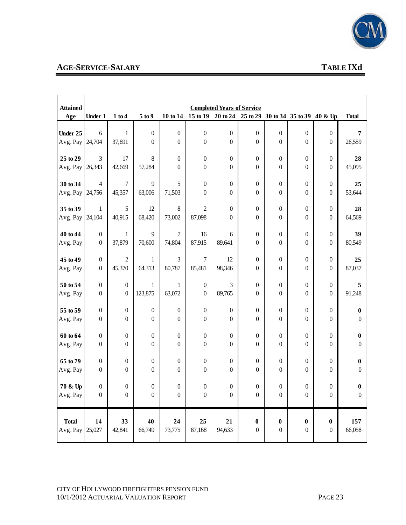

# **AGE-SERVICE-SALARY TABLE IXd**

| <b>Attained</b>      |                                      |                        |                  |                  |                  | <b>Completed Years of Service</b>                             |                                      |                                      |                                      |                                      |                  |
|----------------------|--------------------------------------|------------------------|------------------|------------------|------------------|---------------------------------------------------------------|--------------------------------------|--------------------------------------|--------------------------------------|--------------------------------------|------------------|
| Age                  | <b>Under 1</b>                       | 1 to 4                 | 5 to 9           |                  |                  | 10 to 14 15 to 19 20 to 24 25 to 29 30 to 34 35 to 39 40 & Up |                                      |                                      |                                      |                                      | <b>Total</b>     |
|                      |                                      |                        |                  |                  |                  |                                                               |                                      |                                      |                                      |                                      |                  |
| Under 25             | $6\,$                                | $1\,$                  | $\boldsymbol{0}$ | $\boldsymbol{0}$ | $\boldsymbol{0}$ | $\boldsymbol{0}$                                              | $\boldsymbol{0}$                     | $\boldsymbol{0}$                     | $\boldsymbol{0}$                     | $\boldsymbol{0}$                     | 7                |
| Avg. Pay             | 24,704                               | 37,691                 | $\boldsymbol{0}$ | $\boldsymbol{0}$ | $\boldsymbol{0}$ | $\boldsymbol{0}$                                              | $\boldsymbol{0}$                     | $\boldsymbol{0}$                     | $\boldsymbol{0}$                     | $\boldsymbol{0}$                     | 26,559           |
| 25 to 29             | 3                                    | 17                     | 8                | $\boldsymbol{0}$ | $\boldsymbol{0}$ | $\boldsymbol{0}$                                              | $\boldsymbol{0}$                     |                                      |                                      |                                      | 28               |
| Avg. Pay             | 26,343                               | 42,669                 | 57,284           | $\boldsymbol{0}$ | $\boldsymbol{0}$ | $\boldsymbol{0}$                                              | $\boldsymbol{0}$                     | $\boldsymbol{0}$<br>$\boldsymbol{0}$ | $\boldsymbol{0}$<br>$\boldsymbol{0}$ | $\boldsymbol{0}$<br>$\boldsymbol{0}$ | 45,095           |
|                      |                                      |                        |                  |                  |                  |                                                               |                                      |                                      |                                      |                                      |                  |
| 30 to 34             | $\overline{4}$                       | $\boldsymbol{7}$       | 9                | 5                | $\boldsymbol{0}$ | $\boldsymbol{0}$                                              | $\boldsymbol{0}$                     | $\boldsymbol{0}$                     | $\boldsymbol{0}$                     | $\boldsymbol{0}$                     | 25               |
| Avg. Pay             | 24,756                               | 45,357                 | 63,006           | 71,503           | $\mathbf{0}$     | $\boldsymbol{0}$                                              | $\boldsymbol{0}$                     | $\boldsymbol{0}$                     | $\boldsymbol{0}$                     | $\boldsymbol{0}$                     | 53,644           |
|                      |                                      |                        |                  |                  |                  |                                                               |                                      |                                      |                                      |                                      |                  |
| 35 to 39             | $\mathbf{1}$                         | 5                      | 12               | $\,8\,$          | $\mathbf{2}$     | $\boldsymbol{0}$                                              | $\boldsymbol{0}$                     | $\boldsymbol{0}$                     | $\boldsymbol{0}$                     | $\boldsymbol{0}$                     | 28               |
| Avg. Pay             | 24,104                               | 40,915                 | 68,420           | 73,002           | 87,098           | $\boldsymbol{0}$                                              | $\boldsymbol{0}$                     | $\boldsymbol{0}$                     | $\boldsymbol{0}$                     | $\boldsymbol{0}$                     | 64,569           |
|                      |                                      |                        |                  |                  |                  |                                                               |                                      |                                      |                                      |                                      |                  |
| 40 to 44<br>Avg. Pay | $\boldsymbol{0}$<br>$\boldsymbol{0}$ | $\mathbf{1}$<br>37,879 | 9<br>70,600      | $\tau$<br>74,804 | 16<br>87,915     | 6<br>89,641                                                   | $\boldsymbol{0}$<br>$\boldsymbol{0}$ | $\boldsymbol{0}$<br>$\boldsymbol{0}$ | $\boldsymbol{0}$<br>$\boldsymbol{0}$ | $\boldsymbol{0}$<br>$\boldsymbol{0}$ | 39<br>80,549     |
|                      |                                      |                        |                  |                  |                  |                                                               |                                      |                                      |                                      |                                      |                  |
| 45 to 49             | $\boldsymbol{0}$                     | $\overline{2}$         | $\mathbf{1}$     | 3                | $\overline{7}$   | 12                                                            | $\boldsymbol{0}$                     | $\boldsymbol{0}$                     | $\boldsymbol{0}$                     | $\boldsymbol{0}$                     | 25               |
| Avg. Pay             | $\boldsymbol{0}$                     | 45,370                 | 64,313           | 80,787           | 85,481           | 98,346                                                        | $\boldsymbol{0}$                     | $\boldsymbol{0}$                     | $\boldsymbol{0}$                     | $\boldsymbol{0}$                     | 87,037           |
|                      |                                      |                        |                  |                  |                  |                                                               |                                      |                                      |                                      |                                      |                  |
| 50 to 54             | $\boldsymbol{0}$                     | $\boldsymbol{0}$       | $\mathbf{1}$     | $\mathbf{1}$     | $\boldsymbol{0}$ | $\mathfrak{Z}$                                                | $\boldsymbol{0}$                     | $\boldsymbol{0}$                     | $\boldsymbol{0}$                     | $\boldsymbol{0}$                     | 5                |
| Avg. Pay             | $\boldsymbol{0}$                     | $\boldsymbol{0}$       | 123,875          | 63,072           | $\boldsymbol{0}$ | 89,765                                                        | $\overline{0}$                       | $\boldsymbol{0}$                     | $\boldsymbol{0}$                     | $\overline{0}$                       | 91,248           |
|                      |                                      |                        |                  |                  |                  |                                                               |                                      |                                      |                                      |                                      |                  |
| 55 to 59             | $\boldsymbol{0}$                     | $\boldsymbol{0}$       | $\boldsymbol{0}$ | $\boldsymbol{0}$ | $\boldsymbol{0}$ | $\boldsymbol{0}$                                              | $\boldsymbol{0}$                     | $\boldsymbol{0}$                     | $\boldsymbol{0}$                     | $\boldsymbol{0}$                     | 0                |
| Avg. Pay             | $\boldsymbol{0}$                     | $\boldsymbol{0}$       | $\boldsymbol{0}$ | $\mathbf{0}$     | $\boldsymbol{0}$ | $\boldsymbol{0}$                                              | $\boldsymbol{0}$                     | $\boldsymbol{0}$                     | $\boldsymbol{0}$                     | $\boldsymbol{0}$                     | $\theta$         |
| 60 to 64             | $\boldsymbol{0}$                     | $\boldsymbol{0}$       | $\boldsymbol{0}$ | $\boldsymbol{0}$ | $\boldsymbol{0}$ | $\boldsymbol{0}$                                              | $\boldsymbol{0}$                     | $\boldsymbol{0}$                     | $\boldsymbol{0}$                     | $\boldsymbol{0}$                     | 0                |
| Avg. Pay             | $\boldsymbol{0}$                     | $\overline{0}$         | $\boldsymbol{0}$ | $\mathbf{0}$     | $\mathbf{0}$     | $\boldsymbol{0}$                                              | $\boldsymbol{0}$                     | $\boldsymbol{0}$                     | $\boldsymbol{0}$                     | $\boldsymbol{0}$                     | 0                |
|                      |                                      |                        |                  |                  |                  |                                                               |                                      |                                      |                                      |                                      |                  |
| 65 to 79             | $\boldsymbol{0}$                     | $\boldsymbol{0}$       | $\mathbf{0}$     | $\boldsymbol{0}$ | $\boldsymbol{0}$ | $\boldsymbol{0}$                                              | $\boldsymbol{0}$                     | $\boldsymbol{0}$                     | $\boldsymbol{0}$                     | $\boldsymbol{0}$                     | 0                |
| Avg. Pay             | $\boldsymbol{0}$                     | $\theta$               | $\mathbf{0}$     | $\overline{0}$   | $\mathbf{0}$     | $\boldsymbol{0}$                                              | $\boldsymbol{0}$                     | $\boldsymbol{0}$                     | $\boldsymbol{0}$                     | $\boldsymbol{0}$                     | $\theta$         |
|                      |                                      |                        |                  |                  |                  |                                                               |                                      |                                      |                                      |                                      |                  |
| 70 & Up              | $\boldsymbol{0}$                     | $\boldsymbol{0}$       | $\boldsymbol{0}$ | $\boldsymbol{0}$ | $\boldsymbol{0}$ | $\boldsymbol{0}$                                              | $\boldsymbol{0}$                     | $\boldsymbol{0}$                     | $\boldsymbol{0}$                     | $\boldsymbol{0}$                     | 0                |
| Avg. Pay             | $\boldsymbol{0}$                     | $\boldsymbol{0}$       | $\boldsymbol{0}$ | $\boldsymbol{0}$ | $\boldsymbol{0}$ | $\boldsymbol{0}$                                              | $\boldsymbol{0}$                     | $\boldsymbol{0}$                     | $\boldsymbol{0}$                     | $\boldsymbol{0}$                     | $\boldsymbol{0}$ |
| <b>Total</b>         |                                      |                        | 40               | 24               | 25               |                                                               |                                      |                                      |                                      |                                      |                  |
| Avg. Pay             | 14<br>25,027                         | 33<br>42,841           | 66,749           | 73,775           | 87,168           | 21<br>94,633                                                  | $\boldsymbol{0}$<br>$\boldsymbol{0}$ | $\boldsymbol{0}$<br>$\boldsymbol{0}$ | $\boldsymbol{0}$<br>$\boldsymbol{0}$ | $\boldsymbol{0}$<br>$\boldsymbol{0}$ | 157<br>66,058    |
|                      |                                      |                        |                  |                  |                  |                                                               |                                      |                                      |                                      |                                      |                  |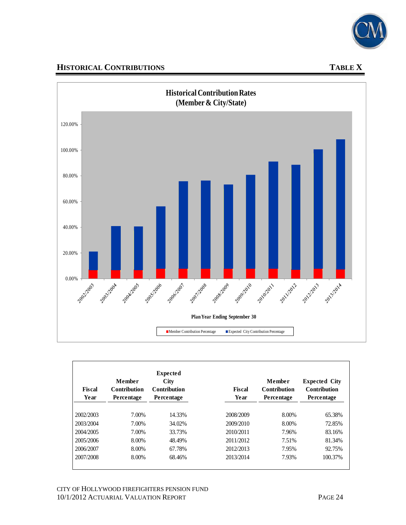

# **HISTORICAL CONTRIBUTIONS TABLE X**



| <b>Fiscal</b><br>Year | Member<br><b>Contribution</b><br>Percentage | <b>Expected</b><br><b>City</b><br><b>Contribution</b><br>Percentage | <b>Fiscal</b><br>Year | Member<br><b>Contribution</b><br><b>Percentage</b> | <b>Expected City</b><br><b>Contribution</b><br>Percentage |
|-----------------------|---------------------------------------------|---------------------------------------------------------------------|-----------------------|----------------------------------------------------|-----------------------------------------------------------|
| 2002/2003             | 7.00%                                       | 14.33%                                                              | 2008/2009             | 8.00%                                              | 65.38%                                                    |
| 2003/2004             | 7.00%                                       | 34.02%                                                              | 2009/2010             | 8.00%                                              | 72.85%                                                    |
| 2004/2005             | 7.00%                                       | 33.73%                                                              | 2010/2011             | 7.96%                                              | 83.16%                                                    |
| 2005/2006             | 8.00%                                       | 48.49%                                                              | 2011/2012             | 7.51%                                              | 81.34%                                                    |
| 2006/2007             | 8.00%                                       | 67.78%                                                              | 2012/2013             | 7.95%                                              | 92.75%                                                    |
| 2007/2008             | 8.00%                                       | 68.46%                                                              | 2013/2014             | 7.93%                                              | 100.37%                                                   |

CITY OF HOLLYWOOD FIREFIGHTERS PENSION FUND 10/1/2012 ACTUARIAL VALUATION REPORT PAGE 24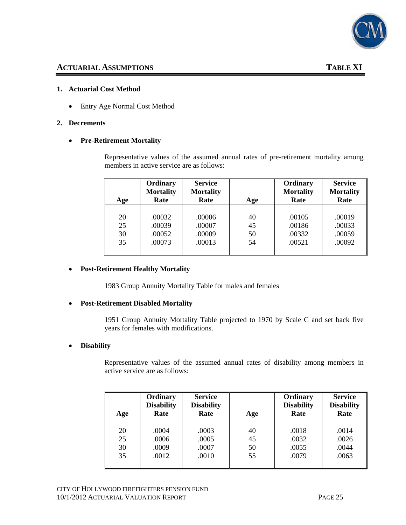

#### **1. Actuarial Cost Method**

• Entry Age Normal Cost Method

#### **2. Decrements**

#### • **Pre-Retirement Mortality**

Representative values of the assumed annual rates of pre-retirement mortality among members in active service are as follows:

| Age | Ordinary<br><b>Mortality</b><br>Rate | <b>Service</b><br><b>Mortality</b><br>Rate | Age | Ordinary<br><b>Mortality</b><br>Rate | <b>Service</b><br><b>Mortality</b><br>Rate |
|-----|--------------------------------------|--------------------------------------------|-----|--------------------------------------|--------------------------------------------|
|     |                                      |                                            |     |                                      |                                            |
| 20  | .00032                               | .00006                                     | 40  | .00105                               | .00019                                     |
| 25  | .00039                               | .00007                                     | 45  | .00186                               | .00033                                     |
| 30  | .00052                               | .00009                                     | 50  | .00332                               | .00059                                     |
| 35  | .00073                               | .00013                                     | 54  | .00521                               | .00092                                     |
|     |                                      |                                            |     |                                      |                                            |

#### • **Post-Retirement Healthy Mortality**

1983 Group Annuity Mortality Table for males and females

#### • **Post-Retirement Disabled Mortality**

1951 Group Annuity Mortality Table projected to 1970 by Scale C and set back five years for females with modifications.

#### • **Disability**

Representative values of the assumed annual rates of disability among members in active service are as follows:

| Age | Ordinary<br><b>Disability</b><br>Rate | <b>Service</b><br><b>Disability</b><br>Rate | Age | Ordinary<br><b>Disability</b><br>Rate | <b>Service</b><br><b>Disability</b><br>Rate |
|-----|---------------------------------------|---------------------------------------------|-----|---------------------------------------|---------------------------------------------|
| 20  | .0004                                 | .0003                                       | 40  | .0018                                 | .0014                                       |
| 25  | .0006                                 | .0005                                       | 45  | .0032                                 | .0026                                       |
| 30  | .0009                                 | .0007                                       | 50  | .0055                                 | .0044                                       |
| 35  | .0012                                 | .0010                                       | 55  | .0079                                 | .0063                                       |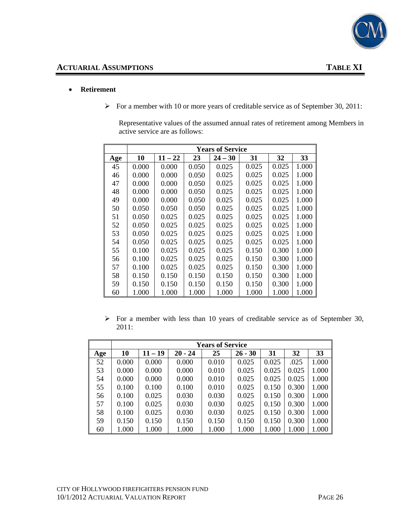

#### • **Retirement**

¾ For a member with 10 or more years of creditable service as of September 30, 2011:

Representative values of the assumed annual rates of retirement among Members in active service are as follows:

|     | <b>Years of Service</b> |           |       |           |       |       |       |  |  |  |  |
|-----|-------------------------|-----------|-------|-----------|-------|-------|-------|--|--|--|--|
| Age | 10                      | $11 - 22$ | 23    | $24 - 30$ | 31    | 32    | 33    |  |  |  |  |
| 45  | 0.000                   | 0.000     | 0.050 | 0.025     | 0.025 | 0.025 | 1.000 |  |  |  |  |
| 46  | 0.000                   | 0.000     | 0.050 | 0.025     | 0.025 | 0.025 | 1.000 |  |  |  |  |
| 47  | 0.000                   | 0.000     | 0.050 | 0.025     | 0.025 | 0.025 | 1.000 |  |  |  |  |
| 48  | 0.000                   | 0.000     | 0.050 | 0.025     | 0.025 | 0.025 | 1.000 |  |  |  |  |
| 49  | 0.000                   | 0.000     | 0.050 | 0.025     | 0.025 | 0.025 | 1.000 |  |  |  |  |
| 50  | 0.050                   | 0.050     | 0.050 | 0.025     | 0.025 | 0.025 | 1.000 |  |  |  |  |
| 51  | 0.050                   | 0.025     | 0.025 | 0.025     | 0.025 | 0.025 | 1.000 |  |  |  |  |
| 52  | 0.050                   | 0.025     | 0.025 | 0.025     | 0.025 | 0.025 | 1.000 |  |  |  |  |
| 53  | 0.050                   | 0.025     | 0.025 | 0.025     | 0.025 | 0.025 | 1.000 |  |  |  |  |
| 54  | 0.050                   | 0.025     | 0.025 | 0.025     | 0.025 | 0.025 | 1.000 |  |  |  |  |
| 55  | 0.100                   | 0.025     | 0.025 | 0.025     | 0.150 | 0.300 | 1.000 |  |  |  |  |
| 56  | 0.100                   | 0.025     | 0.025 | 0.025     | 0.150 | 0.300 | 1.000 |  |  |  |  |
| 57  | 0.100                   | 0.025     | 0.025 | 0.025     | 0.150 | 0.300 | 1.000 |  |  |  |  |
| 58  | 0.150                   | 0.150     | 0.150 | 0.150     | 0.150 | 0.300 | 1.000 |  |  |  |  |
| 59  | 0.150                   | 0.150     | 0.150 | 0.150     | 0.150 | 0.300 | 1.000 |  |  |  |  |
| 60  | 1.000                   | 1.000     | 1.000 | 1.000     | 1.000 | 1.000 | 1.000 |  |  |  |  |

 $\triangleright$  For a member with less than 10 years of creditable service as of September 30, 2011:

|     | <b>Years of Service</b> |           |           |       |           |       |       |       |  |
|-----|-------------------------|-----------|-----------|-------|-----------|-------|-------|-------|--|
| Age | 10                      | $11 - 19$ | $20 - 24$ | 25    | $26 - 30$ | 31    | 32    | 33    |  |
| 52  | 0.000                   | 0.000     | 0.000     | 0.010 | 0.025     | 0.025 | .025  | 1.000 |  |
| 53  | 0.000                   | 0.000     | 0.000     | 0.010 | 0.025     | 0.025 | 0.025 | 1.000 |  |
| 54  | 0.000                   | 0.000     | 0.000     | 0.010 | 0.025     | 0.025 | 0.025 | 1.000 |  |
| 55  | 0.100                   | 0.100     | 0.100     | 0.010 | 0.025     | 0.150 | 0.300 | 1.000 |  |
| 56  | 0.100                   | 0.025     | 0.030     | 0.030 | 0.025     | 0.150 | 0.300 | 1.000 |  |
| 57  | 0.100                   | 0.025     | 0.030     | 0.030 | 0.025     | 0.150 | 0.300 | 1.000 |  |
| 58  | 0.100                   | 0.025     | 0.030     | 0.030 | 0.025     | 0.150 | 0.300 | 1.000 |  |
| 59  | 0.150                   | 0.150     | 0.150     | 0.150 | 0.150     | 0.150 | 0.300 | 1.000 |  |
| 60  | 1.000                   | 1.000     | 1.000     | 1.000 | 1.000     | 1.000 | 1.000 | 1.000 |  |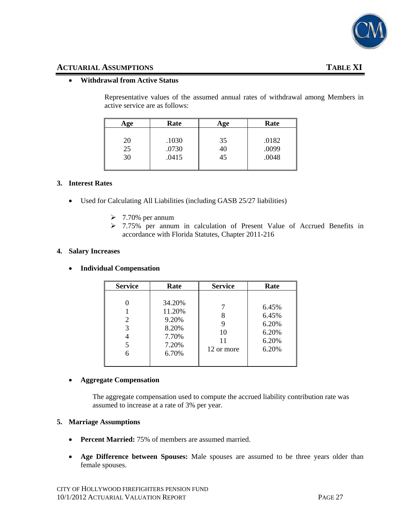

#### **ACTUARIAL ASSUMPTIONS TABLE XI**

#### • **Withdrawal from Active Status**

Representative values of the assumed annual rates of withdrawal among Members in active service are as follows:

| Age | Rate  | Age | Rate  |  |
|-----|-------|-----|-------|--|
|     |       |     |       |  |
| 20  | .1030 | 35  | .0182 |  |
| 25  | .0730 | 40  | .0099 |  |
| 30  | .0415 | 45  | .0048 |  |
|     |       |     |       |  |

#### **3. Interest Rates**

- Used for Calculating All Liabilities (including GASB 25/27 liabilities)
	- $\geq 7.70\%$  per annum
	- ¾ 7.75% per annum in calculation of Present Value of Accrued Benefits in accordance with Florida Statutes, Chapter 2011-216

#### **4. Salary Increases**

#### • **Individual Compensation**

| <b>Service</b>   | Rate                                                          | <b>Service</b>                   | Rate                                               |
|------------------|---------------------------------------------------------------|----------------------------------|----------------------------------------------------|
| 2<br>3<br>5<br>6 | 34.20%<br>11.20%<br>9.20%<br>8.20%<br>7.70%<br>7.20%<br>6.70% | 8<br>9<br>10<br>11<br>12 or more | 6.45%<br>6.45%<br>6.20%<br>6.20%<br>6.20%<br>6.20% |

#### • **Aggregate Compensation**

The aggregate compensation used to compute the accrued liability contribution rate was assumed to increase at a rate of 3% per year.

#### **5. Marriage Assumptions**

- **Percent Married:** 75% of members are assumed married.
- **Age Difference between Spouses:** Male spouses are assumed to be three years older than female spouses.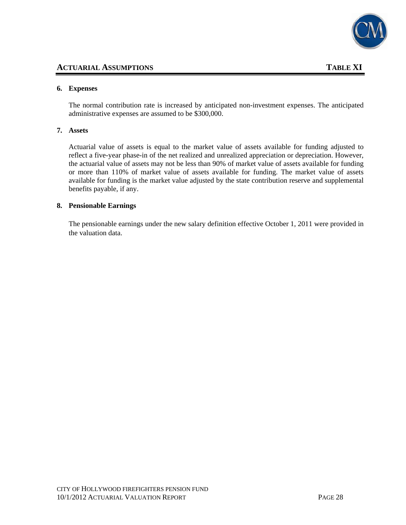

#### **ACTUARIAL ASSUMPTIONS TABLE XI**

#### **6. Expenses**

The normal contribution rate is increased by anticipated non-investment expenses. The anticipated administrative expenses are assumed to be \$300,000.

#### **7. Assets**

Actuarial value of assets is equal to the market value of assets available for funding adjusted to reflect a five-year phase-in of the net realized and unrealized appreciation or depreciation. However, the actuarial value of assets may not be less than 90% of market value of assets available for funding or more than 110% of market value of assets available for funding. The market value of assets available for funding is the market value adjusted by the state contribution reserve and supplemental benefits payable, if any.

#### **8. Pensionable Earnings**

The pensionable earnings under the new salary definition effective October 1, 2011 were provided in the valuation data.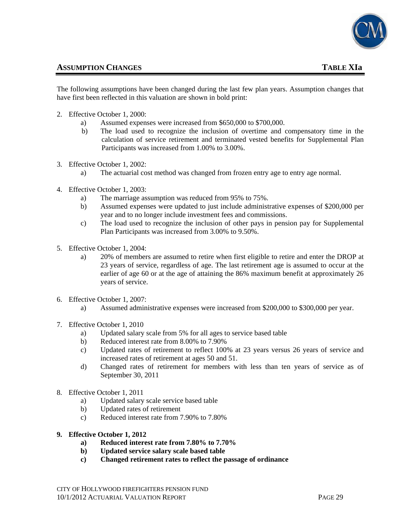

#### **ASSUMPTION CHANGES** TABLE XIa

The following assumptions have been changed during the last few plan years. Assumption changes that have first been reflected in this valuation are shown in bold print:

- 2. Effective October 1, 2000:
	- a) Assumed expenses were increased from \$650,000 to \$700,000.
	- b) The load used to recognize the inclusion of overtime and compensatory time in the calculation of service retirement and terminated vested benefits for Supplemental Plan Participants was increased from 1.00% to 3.00%.
- 3. Effective October 1, 2002:
	- a) The actuarial cost method was changed from frozen entry age to entry age normal.
- 4. Effective October 1, 2003:
	- a) The marriage assumption was reduced from 95% to 75%.
	- b) Assumed expenses were updated to just include administrative expenses of \$200,000 per year and to no longer include investment fees and commissions.
	- c) The load used to recognize the inclusion of other pays in pension pay for Supplemental Plan Participants was increased from 3.00% to 9.50%.
- 5. Effective October 1, 2004:
	- a) 20% of members are assumed to retire when first eligible to retire and enter the DROP at 23 years of service, regardless of age. The last retirement age is assumed to occur at the earlier of age 60 or at the age of attaining the 86% maximum benefit at approximately 26 years of service.
- 6. Effective October 1, 2007:
	- a) Assumed administrative expenses were increased from \$200,000 to \$300,000 per year.
- 7. Effective October 1, 2010
	- a) Updated salary scale from 5% for all ages to service based table
	- b) Reduced interest rate from 8.00% to 7.90%
	- c) Updated rates of retirement to reflect 100% at 23 years versus 26 years of service and increased rates of retirement at ages 50 and 51.
	- d) Changed rates of retirement for members with less than ten years of service as of September 30, 2011
- 8. Effective October 1, 2011
	- a) Updated salary scale service based table
	- b) Updated rates of retirement
	- c) Reduced interest rate from 7.90% to 7.80%
- **9. Effective October 1, 2012** 
	- **a) Reduced interest rate from 7.80% to 7.70%**
	- **b) Updated service salary scale based table**
	- **c) Changed retirement rates to reflect the passage of ordinance**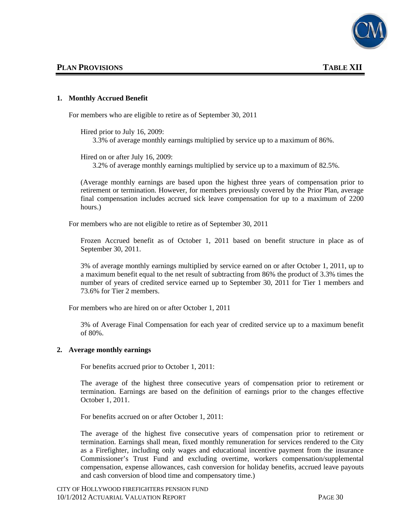

#### **1. Monthly Accrued Benefit**

For members who are eligible to retire as of September 30, 2011

Hired prior to July 16, 2009:

3.3% of average monthly earnings multiplied by service up to a maximum of 86%.

Hired on or after July 16, 2009:

3.2% of average monthly earnings multiplied by service up to a maximum of 82.5%.

(Average monthly earnings are based upon the highest three years of compensation prior to retirement or termination. However, for members previously covered by the Prior Plan, average final compensation includes accrued sick leave compensation for up to a maximum of 2200 hours.)

For members who are not eligible to retire as of September 30, 2011

Frozen Accrued benefit as of October 1, 2011 based on benefit structure in place as of September 30, 2011.

3% of average monthly earnings multiplied by service earned on or after October 1, 2011, up to a maximum benefit equal to the net result of subtracting from 86% the product of 3.3% times the number of years of credited service earned up to September 30, 2011 for Tier 1 members and 73.6% for Tier 2 members.

For members who are hired on or after October 1, 2011

3% of Average Final Compensation for each year of credited service up to a maximum benefit of 80%.

#### **2. Average monthly earnings**

For benefits accrued prior to October 1, 2011:

The average of the highest three consecutive years of compensation prior to retirement or termination. Earnings are based on the definition of earnings prior to the changes effective October 1, 2011.

For benefits accrued on or after October 1, 2011:

The average of the highest five consecutive years of compensation prior to retirement or termination. Earnings shall mean, fixed monthly remuneration for services rendered to the City as a Firefighter, including only wages and educational incentive payment from the insurance Commissioner's Trust Fund and excluding overtime, workers compensation/supplemental compensation, expense allowances, cash conversion for holiday benefits, accrued leave payouts and cash conversion of blood time and compensatory time.)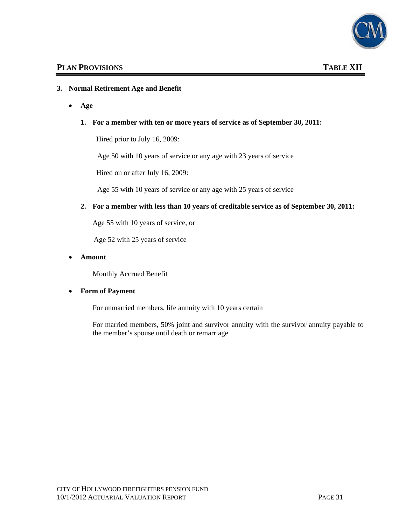

#### **3. Normal Retirement Age and Benefit**

• **Age**

#### **1. For a member with ten or more years of service as of September 30, 2011:**

Hired prior to July 16, 2009:

Age 50 with 10 years of service or any age with 23 years of service

Hired on or after July 16, 2009:

Age 55 with 10 years of service or any age with 25 years of service

#### **2. For a member with less than 10 years of creditable service as of September 30, 2011:**

Age 55 with 10 years of service, or

Age 52 with 25 years of service

#### • **Amount**

Monthly Accrued Benefit

#### • **Form of Payment**

For unmarried members, life annuity with 10 years certain

For married members, 50% joint and survivor annuity with the survivor annuity payable to the member's spouse until death or remarriage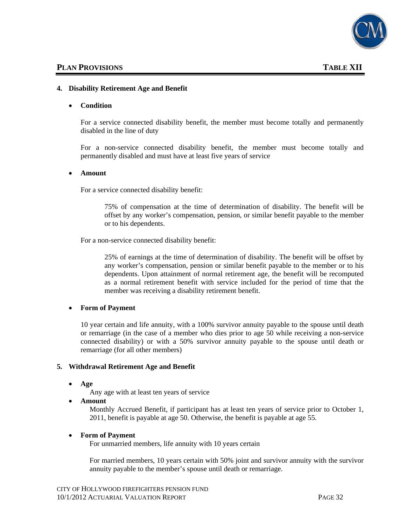

#### **4. Disability Retirement Age and Benefit**

#### • **Condition**

For a service connected disability benefit, the member must become totally and permanently disabled in the line of duty

For a non-service connected disability benefit, the member must become totally and permanently disabled and must have at least five years of service

#### • **Amount**

For a service connected disability benefit:

75% of compensation at the time of determination of disability. The benefit will be offset by any worker's compensation, pension, or similar benefit payable to the member or to his dependents.

For a non-service connected disability benefit:

25% of earnings at the time of determination of disability. The benefit will be offset by any worker's compensation, pension or similar benefit payable to the member or to his dependents. Upon attainment of normal retirement age, the benefit will be recomputed as a normal retirement benefit with service included for the period of time that the member was receiving a disability retirement benefit.

#### • **Form of Payment**

10 year certain and life annuity, with a 100% survivor annuity payable to the spouse until death or remarriage (in the case of a member who dies prior to age 50 while receiving a non-service connected disability) or with a 50% survivor annuity payable to the spouse until death or remarriage (for all other members)

#### **5. Withdrawal Retirement Age and Benefit**

• **Age**

Any age with at least ten years of service

• **Amount**

Monthly Accrued Benefit, if participant has at least ten years of service prior to October 1, 2011, benefit is payable at age 50. Otherwise, the benefit is payable at age 55.

#### • **Form of Payment**

For unmarried members, life annuity with 10 years certain

For married members, 10 years certain with 50% joint and survivor annuity with the survivor annuity payable to the member's spouse until death or remarriage.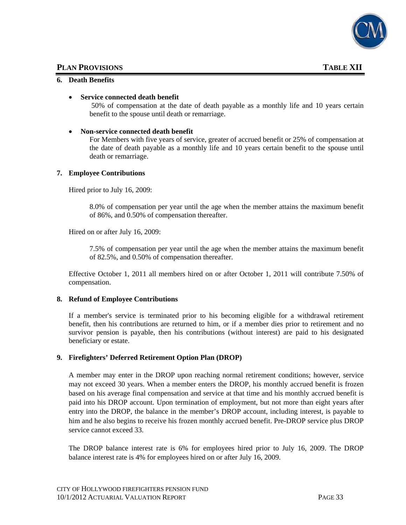

#### **PLAN PROVISIONS** TABLE XII

#### **6. Death Benefits**

#### • **Service connected death benefit**

50% of compensation at the date of death payable as a monthly life and 10 years certain benefit to the spouse until death or remarriage.

#### • **Non-service connected death benefit**

For Members with five years of service, greater of accrued benefit or 25% of compensation at the date of death payable as a monthly life and 10 years certain benefit to the spouse until death or remarriage.

#### **7. Employee Contributions**

Hired prior to July 16, 2009:

8.0% of compensation per year until the age when the member attains the maximum benefit of 86%, and 0.50% of compensation thereafter.

Hired on or after July 16, 2009:

7.5% of compensation per year until the age when the member attains the maximum benefit of 82.5%, and 0.50% of compensation thereafter.

Effective October 1, 2011 all members hired on or after October 1, 2011 will contribute 7.50% of compensation.

#### **8. Refund of Employee Contributions**

If a member's service is terminated prior to his becoming eligible for a withdrawal retirement benefit, then his contributions are returned to him, or if a member dies prior to retirement and no survivor pension is payable, then his contributions (without interest) are paid to his designated beneficiary or estate.

#### **9. Firefighters' Deferred Retirement Option Plan (DROP)**

A member may enter in the DROP upon reaching normal retirement conditions; however, service may not exceed 30 years. When a member enters the DROP, his monthly accrued benefit is frozen based on his average final compensation and service at that time and his monthly accrued benefit is paid into his DROP account. Upon termination of employment, but not more than eight years after entry into the DROP, the balance in the member's DROP account, including interest, is payable to him and he also begins to receive his frozen monthly accrued benefit. Pre-DROP service plus DROP service cannot exceed 33.

The DROP balance interest rate is 6% for employees hired prior to July 16, 2009. The DROP balance interest rate is 4% for employees hired on or after July 16, 2009.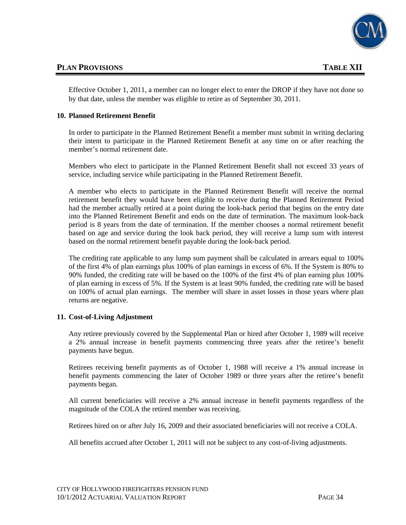

## **PLAN PROVISIONS** TABLE XII

Effective October 1, 2011, a member can no longer elect to enter the DROP if they have not done so by that date, unless the member was eligible to retire as of September 30, 2011.

#### **10. Planned Retirement Benefit**

In order to participate in the Planned Retirement Benefit a member must submit in writing declaring their intent to participate in the Planned Retirement Benefit at any time on or after reaching the member's normal retirement date.

Members who elect to participate in the Planned Retirement Benefit shall not exceed 33 years of service, including service while participating in the Planned Retirement Benefit.

A member who elects to participate in the Planned Retirement Benefit will receive the normal retirement benefit they would have been eligible to receive during the Planned Retirement Period had the member actually retired at a point during the look-back period that begins on the entry date into the Planned Retirement Benefit and ends on the date of termination. The maximum look-back period is 8 years from the date of termination. If the member chooses a normal retirement benefit based on age and service during the look back period, they will receive a lump sum with interest based on the normal retirement benefit payable during the look-back period.

The crediting rate applicable to any lump sum payment shall be calculated in arrears equal to 100% of the first 4% of plan earnings plus 100% of plan earnings in excess of 6%. If the System is 80% to 90% funded, the crediting rate will be based on the 100% of the first 4% of plan earning plus 100% of plan earning in excess of 5%. If the System is at least 90% funded, the crediting rate will be based on 100% of actual plan earnings. The member will share in asset losses in those years where plan returns are negative.

#### **11. Cost-of-Living Adjustment**

Any retiree previously covered by the Supplemental Plan or hired after October 1, 1989 will receive a 2% annual increase in benefit payments commencing three years after the retiree's benefit payments have begun.

Retirees receiving benefit payments as of October 1, 1988 will receive a 1% annual increase in benefit payments commencing the later of October 1989 or three years after the retiree's benefit payments began.

All current beneficiaries will receive a 2% annual increase in benefit payments regardless of the magnitude of the COLA the retired member was receiving.

Retirees hired on or after July 16, 2009 and their associated beneficiaries will not receive a COLA.

All benefits accrued after October 1, 2011 will not be subject to any cost-of-living adjustments.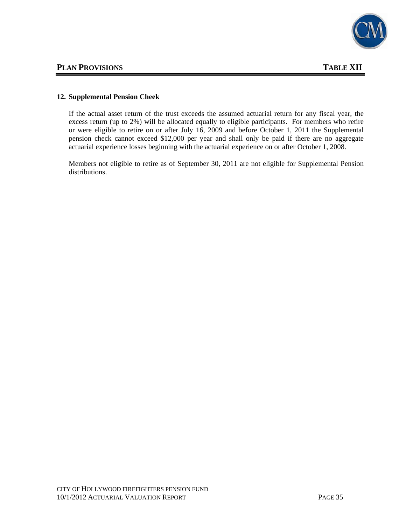

#### **12. Supplemental Pension Cheek**

If the actual asset return of the trust exceeds the assumed actuarial return for any fiscal year, the excess return (up to 2%) will be allocated equally to eligible participants. For members who retire or were eligible to retire on or after July 16, 2009 and before October 1, 2011 the Supplemental pension check cannot exceed \$12,000 per year and shall only be paid if there are no aggregate actuarial experience losses beginning with the actuarial experience on or after October 1, 2008.

Members not eligible to retire as of September 30, 2011 are not eligible for Supplemental Pension distributions.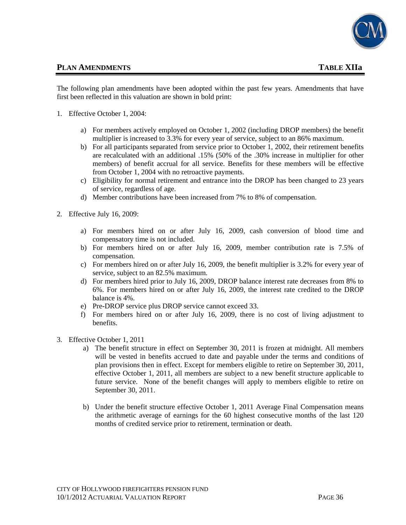

### **PLAN AMENDMENTS TABLE XIIa**

The following plan amendments have been adopted within the past few years. Amendments that have first been reflected in this valuation are shown in bold print:

- 1. Effective October 1, 2004:
	- a) For members actively employed on October 1, 2002 (including DROP members) the benefit multiplier is increased to 3.3% for every year of service, subject to an 86% maximum.
	- b) For all participants separated from service prior to October 1, 2002, their retirement benefits are recalculated with an additional .15% (50% of the .30% increase in multiplier for other members) of benefit accrual for all service. Benefits for these members will be effective from October 1, 2004 with no retroactive payments.
	- c) Eligibility for normal retirement and entrance into the DROP has been changed to 23 years of service, regardless of age.
	- d) Member contributions have been increased from 7% to 8% of compensation.
- 2. Effective July 16, 2009:
	- a) For members hired on or after July 16, 2009, cash conversion of blood time and compensatory time is not included.
	- b) For members hired on or after July 16, 2009, member contribution rate is 7.5% of compensation.
	- c) For members hired on or after July 16, 2009, the benefit multiplier is 3.2% for every year of service, subject to an 82.5% maximum.
	- d) For members hired prior to July 16, 2009, DROP balance interest rate decreases from 8% to 6%. For members hired on or after July 16, 2009, the interest rate credited to the DROP balance is 4%.
	- e) Pre-DROP service plus DROP service cannot exceed 33.
	- f) For members hired on or after July 16, 2009, there is no cost of living adjustment to benefits.
- 3. Effective October 1, 2011
	- a) The benefit structure in effect on September 30, 2011 is frozen at midnight. All members will be vested in benefits accrued to date and payable under the terms and conditions of plan provisions then in effect. Except for members eligible to retire on September 30, 2011, effective October 1, 2011, all members are subject to a new benefit structure applicable to future service. None of the benefit changes will apply to members eligible to retire on September 30, 2011.
	- b) Under the benefit structure effective October 1, 2011 Average Final Compensation means the arithmetic average of earnings for the 60 highest consecutive months of the last 120 months of credited service prior to retirement, termination or death.